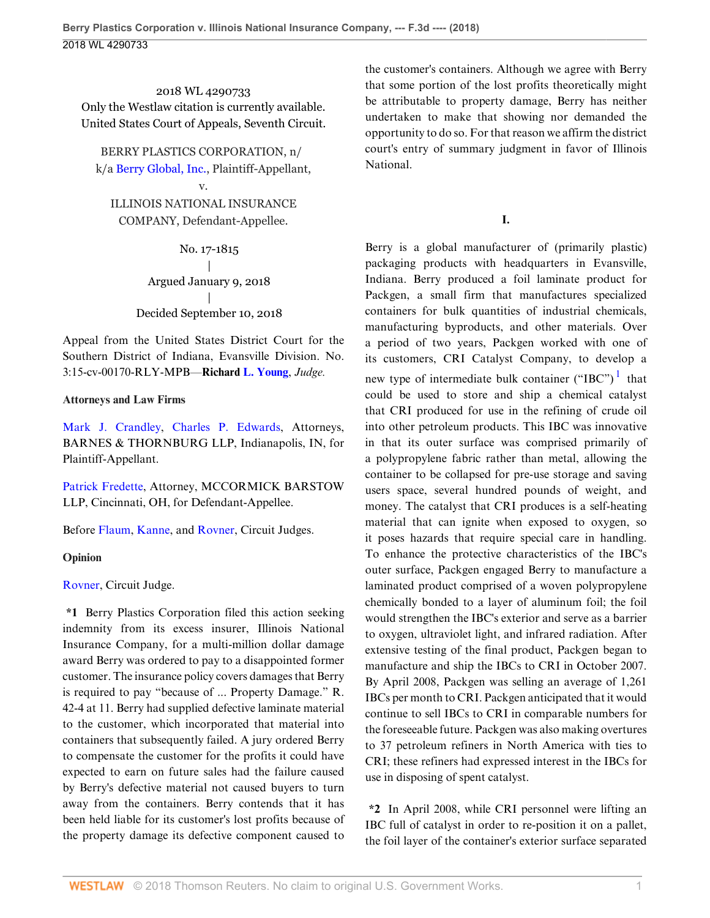2018 WL 4290733 Only the Westlaw citation is currently available. United States Court of Appeals, Seventh Circuit.

BERRY PLASTICS CORPORATION, n/ k/a [Berry Global, Inc.](http://www.westlaw.com/Search/Results.html?query=advanced%3a+OAID(4295909119)&saveJuris=False&contentType=BUSINESS-INVESTIGATOR&startIndex=1&contextData=(sc.Default)&categoryPageUrl=Home%2fCompanyInvestigator&originationContext=document&vr=3.0&rs=cblt1.0&transitionType=DocumentItem), Plaintiff-Appellant,

v.

ILLINOIS NATIONAL INSURANCE COMPANY, Defendant-Appellee.

> No. 17-1815 | Argued January 9, 2018 | Decided September 10, 2018

Appeal from the United States District Court for the Southern District of Indiana, Evansville Division. No. 3:15-cv-00170-RLY-MPB—**Richard [L. Young](http://www.westlaw.com/Link/Document/FullText?findType=h&pubNum=176284&cite=0215025502&originatingDoc=Ia5a48e10b53111e8b93ad6f77bf99296&refType=RQ&originationContext=document&vr=3.0&rs=cblt1.0&transitionType=DocumentItem&contextData=(sc.UserEnteredCitation))**, *Judge.*

## **Attorneys and Law Firms**

[Mark J. Crandley,](http://www.westlaw.com/Link/Document/FullText?findType=h&pubNum=176284&cite=0325337201&originatingDoc=Ia5a48e10b53111e8b93ad6f77bf99296&refType=RQ&originationContext=document&vr=3.0&rs=cblt1.0&transitionType=DocumentItem&contextData=(sc.UserEnteredCitation)) [Charles P. Edwards,](http://www.westlaw.com/Link/Document/FullText?findType=h&pubNum=176284&cite=0177787801&originatingDoc=Ia5a48e10b53111e8b93ad6f77bf99296&refType=RQ&originationContext=document&vr=3.0&rs=cblt1.0&transitionType=DocumentItem&contextData=(sc.UserEnteredCitation)) Attorneys, BARNES & THORNBURG LLP, Indianapolis, IN, for Plaintiff-Appellant.

[Patrick Fredette,](http://www.westlaw.com/Link/Document/FullText?findType=h&pubNum=176284&cite=0139271501&originatingDoc=Ia5a48e10b53111e8b93ad6f77bf99296&refType=RQ&originationContext=document&vr=3.0&rs=cblt1.0&transitionType=DocumentItem&contextData=(sc.UserEnteredCitation)) Attorney, MCCORMICK BARSTOW LLP, Cincinnati, OH, for Defendant-Appellee.

Before [Flaum,](http://www.westlaw.com/Link/Document/FullText?findType=h&pubNum=176284&cite=0233857101&originatingDoc=Ia5a48e10b53111e8b93ad6f77bf99296&refType=RQ&originationContext=document&vr=3.0&rs=cblt1.0&transitionType=DocumentItem&contextData=(sc.UserEnteredCitation)) [Kanne,](http://www.westlaw.com/Link/Document/FullText?findType=h&pubNum=176284&cite=0229432801&originatingDoc=Ia5a48e10b53111e8b93ad6f77bf99296&refType=RQ&originationContext=document&vr=3.0&rs=cblt1.0&transitionType=DocumentItem&contextData=(sc.UserEnteredCitation)) and [Rovner](http://www.westlaw.com/Link/Document/FullText?findType=h&pubNum=176284&cite=0201329001&originatingDoc=Ia5a48e10b53111e8b93ad6f77bf99296&refType=RQ&originationContext=document&vr=3.0&rs=cblt1.0&transitionType=DocumentItem&contextData=(sc.UserEnteredCitation)), Circuit Judges.

## **Opinion**

[Rovner,](http://www.westlaw.com/Link/Document/FullText?findType=h&pubNum=176284&cite=0201329001&originatingDoc=Ia5a48e10b53111e8b93ad6f77bf99296&refType=RQ&originationContext=document&vr=3.0&rs=cblt1.0&transitionType=DocumentItem&contextData=(sc.UserEnteredCitation)) Circuit Judge.

**\*1** Berry Plastics Corporation filed this action seeking indemnity from its excess insurer, Illinois National Insurance Company, for a multi-million dollar damage award Berry was ordered to pay to a disappointed former customer. The insurance policy covers damages that Berry is required to pay "because of ... Property Damage." R. 42-4 at 11. Berry had supplied defective laminate material to the customer, which incorporated that material into containers that subsequently failed. A jury ordered Berry to compensate the customer for the profits it could have expected to earn on future sales had the failure caused by Berry's defective material not caused buyers to turn away from the containers. Berry contends that it has been held liable for its customer's lost profits because of the property damage its defective component caused to

the customer's containers. Although we agree with Berry that some portion of the lost profits theoretically might be attributable to property damage, Berry has neither undertaken to make that showing nor demanded the opportunity to do so. For that reason we affirm the district court's entry of summary judgment in favor of Illinois National.

<span id="page-0-0"></span>**I.**

Berry is a global manufacturer of (primarily plastic) packaging products with headquarters in Evansville, Indiana. Berry produced a foil laminate product for Packgen, a small firm that manufactures specialized containers for bulk quantities of industrial chemicals, manufacturing byproducts, and other materials. Over a period of two years, Packgen worked with one of its customers, CRI Catalyst Company, to develop a new type of intermediate bulk container ("IBC") $<sup>1</sup>$  $<sup>1</sup>$  $<sup>1</sup>$  that</sup> could be used to store and ship a chemical catalyst that CRI produced for use in the refining of crude oil into other petroleum products. This IBC was innovative in that its outer surface was comprised primarily of a polypropylene fabric rather than metal, allowing the container to be collapsed for pre-use storage and saving users space, several hundred pounds of weight, and money. The catalyst that CRI produces is a self-heating material that can ignite when exposed to oxygen, so it poses hazards that require special care in handling. To enhance the protective characteristics of the IBC's outer surface, Packgen engaged Berry to manufacture a laminated product comprised of a woven polypropylene chemically bonded to a layer of aluminum foil; the foil would strengthen the IBC's exterior and serve as a barrier to oxygen, ultraviolet light, and infrared radiation. After extensive testing of the final product, Packgen began to manufacture and ship the IBCs to CRI in October 2007. By April 2008, Packgen was selling an average of 1,261 IBCs per month to CRI. Packgen anticipated that it would continue to sell IBCs to CRI in comparable numbers for the foreseeable future. Packgen was also making overtures to 37 petroleum refiners in North America with ties to CRI; these refiners had expressed interest in the IBCs for use in disposing of spent catalyst.

**\*2** In April 2008, while CRI personnel were lifting an IBC full of catalyst in order to re-position it on a pallet, the foil layer of the container's exterior surface separated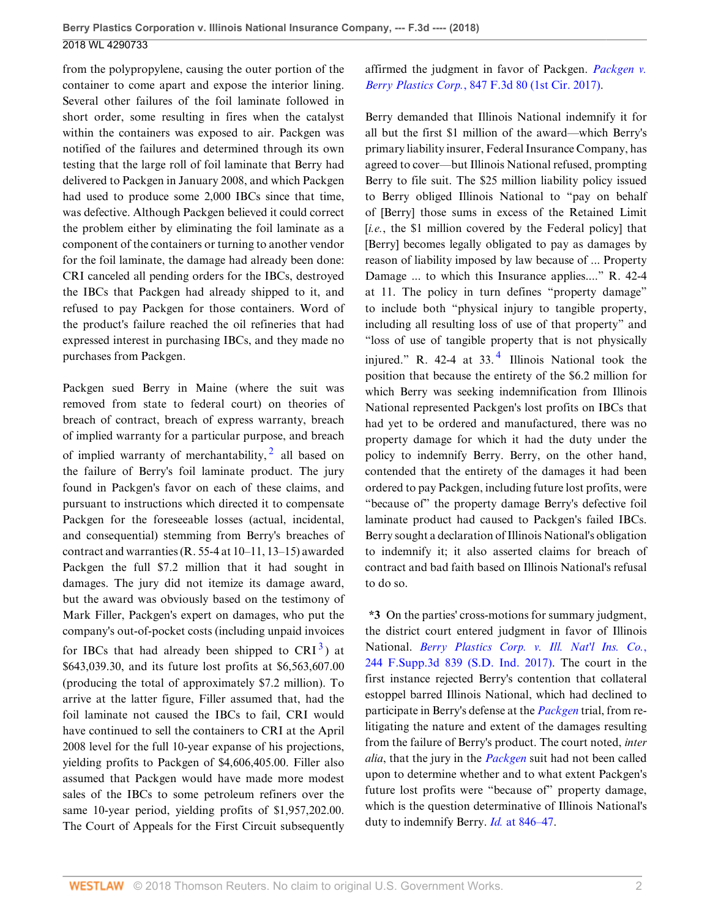from the polypropylene, causing the outer portion of the container to come apart and expose the interior lining. Several other failures of the foil laminate followed in short order, some resulting in fires when the catalyst within the containers was exposed to air. Packgen was notified of the failures and determined through its own testing that the large roll of foil laminate that Berry had delivered to Packgen in January 2008, and which Packgen had used to produce some 2,000 IBCs since that time, was defective. Although Packgen believed it could correct the problem either by eliminating the foil laminate as a component of the containers or turning to another vendor for the foil laminate, the damage had already been done: CRI canceled all pending orders for the IBCs, destroyed the IBCs that Packgen had already shipped to it, and refused to pay Packgen for those containers. Word of the product's failure reached the oil refineries that had expressed interest in purchasing IBCs, and they made no purchases from Packgen.

Packgen sued Berry in Maine (where the suit was removed from state to federal court) on theories of breach of contract, breach of express warranty, breach of implied warranty for a particular purpose, and breach of implied warranty of merchantability,  $\frac{2}{3}$  $\frac{2}{3}$  $\frac{2}{3}$  all based on the failure of Berry's foil laminate product. The jury found in Packgen's favor on each of these claims, and pursuant to instructions which directed it to compensate Packgen for the foreseeable losses (actual, incidental, and consequential) stemming from Berry's breaches of contract and warranties (R. 55-4 at 10–11, 13–15) awarded Packgen the full \$7.2 million that it had sought in damages. The jury did not itemize its damage award, but the award was obviously based on the testimony of Mark Filler, Packgen's expert on damages, who put the company's out-of-pocket costs (including unpaid invoices

for IBCs that had already been shipped to  $CRI<sup>3</sup>$  $CRI<sup>3</sup>$  $CRI<sup>3</sup>$ ) at \$643,039.30, and its future lost profits at \$6,563,607.00 (producing the total of approximately \$7.2 million). To arrive at the latter figure, Filler assumed that, had the foil laminate not caused the IBCs to fail, CRI would have continued to sell the containers to CRI at the April 2008 level for the full 10-year expanse of his projections, yielding profits to Packgen of \$4,606,405.00. Filler also assumed that Packgen would have made more modest sales of the IBCs to some petroleum refiners over the same 10-year period, yielding profits of \$1,957,202.00. The Court of Appeals for the First Circuit subsequently affirmed the judgment in favor of Packgen. *[Packgen v.](http://www.westlaw.com/Link/Document/FullText?findType=Y&serNum=2040866806&pubNum=0000506&originatingDoc=Ia5a48e10b53111e8b93ad6f77bf99296&refType=RP&originationContext=document&vr=3.0&rs=cblt1.0&transitionType=DocumentItem&contextData=(sc.UserEnteredCitation)) Berry Plastics Corp.*[, 847 F.3d 80 \(1st Cir. 2017\).](http://www.westlaw.com/Link/Document/FullText?findType=Y&serNum=2040866806&pubNum=0000506&originatingDoc=Ia5a48e10b53111e8b93ad6f77bf99296&refType=RP&originationContext=document&vr=3.0&rs=cblt1.0&transitionType=DocumentItem&contextData=(sc.UserEnteredCitation))

<span id="page-1-2"></span>Berry demanded that Illinois National indemnify it for all but the first \$1 million of the award—which Berry's primary liability insurer, Federal Insurance Company, has agreed to cover—but Illinois National refused, prompting Berry to file suit. The \$25 million liability policy issued to Berry obliged Illinois National to "pay on behalf of [Berry] those sums in excess of the Retained Limit [*i.e.*, the \$1 million covered by the Federal policy] that [Berry] becomes legally obligated to pay as damages by reason of liability imposed by law because of ... Property Damage ... to which this Insurance applies...." R. 42-4 at 11. The policy in turn defines "property damage" to include both "physical injury to tangible property, including all resulting loss of use of that property" and "loss of use of tangible property that is not physically injured." R. [4](#page-11-3)2-4 at  $33.4$  Illinois National took the position that because the entirety of the \$6.2 million for which Berry was seeking indemnification from Illinois National represented Packgen's lost profits on IBCs that had yet to be ordered and manufactured, there was no property damage for which it had the duty under the policy to indemnify Berry. Berry, on the other hand, contended that the entirety of the damages it had been ordered to pay Packgen, including future lost profits, were "because of" the property damage Berry's defective foil laminate product had caused to Packgen's failed IBCs. Berry sought a declaration of Illinois National's obligation to indemnify it; it also asserted claims for breach of contract and bad faith based on Illinois National's refusal to do so.

<span id="page-1-1"></span><span id="page-1-0"></span>**\*3** On the parties' cross-motions for summary judgment, the district court entered judgment in favor of Illinois National. *[Berry Plastics Corp. v. Ill. Nat'l Ins. Co.](http://www.westlaw.com/Link/Document/FullText?findType=Y&serNum=2041289483&pubNum=0007903&originatingDoc=Ia5a48e10b53111e8b93ad6f77bf99296&refType=RP&originationContext=document&vr=3.0&rs=cblt1.0&transitionType=DocumentItem&contextData=(sc.UserEnteredCitation))*, [244 F.Supp.3d 839 \(S.D. Ind. 2017\)](http://www.westlaw.com/Link/Document/FullText?findType=Y&serNum=2041289483&pubNum=0007903&originatingDoc=Ia5a48e10b53111e8b93ad6f77bf99296&refType=RP&originationContext=document&vr=3.0&rs=cblt1.0&transitionType=DocumentItem&contextData=(sc.UserEnteredCitation)). The court in the first instance rejected Berry's contention that collateral estoppel barred Illinois National, which had declined to participate in Berry's defense at the *[Packgen](http://www.westlaw.com/Link/Document/FullText?findType=Y&serNum=2040866806&pubNum=0000506&originatingDoc=Ia5a48e10b53111e8b93ad6f77bf99296&refType=RP&originationContext=document&vr=3.0&rs=cblt1.0&transitionType=DocumentItem&contextData=(sc.UserEnteredCitation))* trial, from relitigating the nature and extent of the damages resulting from the failure of Berry's product. The court noted, *inter alia*, that the jury in the *[Packgen](http://www.westlaw.com/Link/Document/FullText?findType=Y&serNum=2040866806&pubNum=0000506&originatingDoc=Ia5a48e10b53111e8b93ad6f77bf99296&refType=RP&originationContext=document&vr=3.0&rs=cblt1.0&transitionType=DocumentItem&contextData=(sc.UserEnteredCitation))* suit had not been called upon to determine whether and to what extent Packgen's future lost profits were "because of" property damage, which is the question determinative of Illinois National's duty to indemnify Berry. *Id.* [at 846–47](http://www.westlaw.com/Link/Document/FullText?findType=Y&serNum=2041289483&pubNum=0007903&originatingDoc=Ia5a48e10b53111e8b93ad6f77bf99296&refType=RP&fi=co_pp_sp_7903_846&originationContext=document&vr=3.0&rs=cblt1.0&transitionType=DocumentItem&contextData=(sc.UserEnteredCitation)#co_pp_sp_7903_846).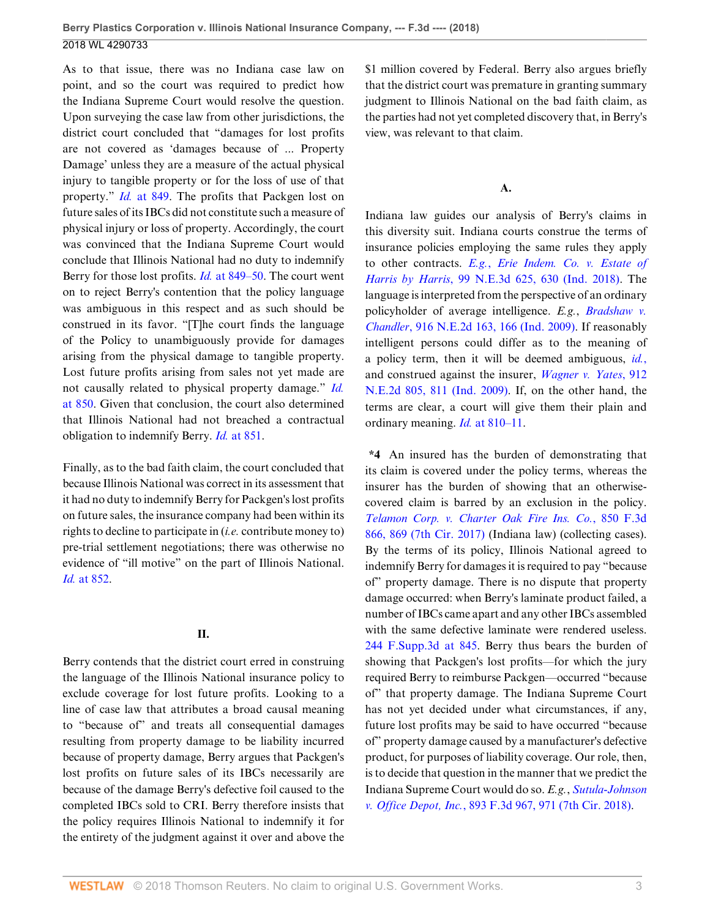As to that issue, there was no Indiana case law on point, and so the court was required to predict how the Indiana Supreme Court would resolve the question. Upon surveying the case law from other jurisdictions, the district court concluded that "damages for lost profits are not covered as 'damages because of ... Property Damage' unless they are a measure of the actual physical injury to tangible property or for the loss of use of that property." *Id.* [at 849.](http://www.westlaw.com/Link/Document/FullText?findType=Y&serNum=2041289483&pubNum=0007903&originatingDoc=Ia5a48e10b53111e8b93ad6f77bf99296&refType=RP&fi=co_pp_sp_7903_849&originationContext=document&vr=3.0&rs=cblt1.0&transitionType=DocumentItem&contextData=(sc.UserEnteredCitation)#co_pp_sp_7903_849) The profits that Packgen lost on future sales of its IBCs did not constitute such a measure of physical injury or loss of property. Accordingly, the court was convinced that the Indiana Supreme Court would conclude that Illinois National had no duty to indemnify Berry for those lost profits. *Id.* [at 849–50](http://www.westlaw.com/Link/Document/FullText?findType=Y&serNum=2041289483&pubNum=0007903&originatingDoc=Ia5a48e10b53111e8b93ad6f77bf99296&refType=RP&fi=co_pp_sp_7903_849&originationContext=document&vr=3.0&rs=cblt1.0&transitionType=DocumentItem&contextData=(sc.UserEnteredCitation)#co_pp_sp_7903_849). The court went on to reject Berry's contention that the policy language was ambiguous in this respect and as such should be construed in its favor. "[T]he court finds the language of the Policy to unambiguously provide for damages arising from the physical damage to tangible property. Lost future profits arising from sales not yet made are not causally related to physical property damage." *[Id.](http://www.westlaw.com/Link/Document/FullText?findType=Y&serNum=2041289483&pubNum=0007903&originatingDoc=Ia5a48e10b53111e8b93ad6f77bf99296&refType=RP&fi=co_pp_sp_7903_850&originationContext=document&vr=3.0&rs=cblt1.0&transitionType=DocumentItem&contextData=(sc.UserEnteredCitation)#co_pp_sp_7903_850)* [at 850](http://www.westlaw.com/Link/Document/FullText?findType=Y&serNum=2041289483&pubNum=0007903&originatingDoc=Ia5a48e10b53111e8b93ad6f77bf99296&refType=RP&fi=co_pp_sp_7903_850&originationContext=document&vr=3.0&rs=cblt1.0&transitionType=DocumentItem&contextData=(sc.UserEnteredCitation)#co_pp_sp_7903_850). Given that conclusion, the court also determined that Illinois National had not breached a contractual obligation to indemnify Berry. *Id.* [at 851.](http://www.westlaw.com/Link/Document/FullText?findType=Y&serNum=2041289483&pubNum=0007903&originatingDoc=Ia5a48e10b53111e8b93ad6f77bf99296&refType=RP&fi=co_pp_sp_7903_851&originationContext=document&vr=3.0&rs=cblt1.0&transitionType=DocumentItem&contextData=(sc.UserEnteredCitation)#co_pp_sp_7903_851)

Finally, as to the bad faith claim, the court concluded that because Illinois National was correct in its assessment that it had no duty to indemnify Berry for Packgen's lost profits on future sales, the insurance company had been within its rights to decline to participate in (*i.e.* contribute money to) pre-trial settlement negotiations; there was otherwise no evidence of "ill motive" on the part of Illinois National. *Id.* [at 852.](http://www.westlaw.com/Link/Document/FullText?findType=Y&serNum=2041289483&pubNum=0007903&originatingDoc=Ia5a48e10b53111e8b93ad6f77bf99296&refType=RP&fi=co_pp_sp_7903_852&originationContext=document&vr=3.0&rs=cblt1.0&transitionType=DocumentItem&contextData=(sc.UserEnteredCitation)#co_pp_sp_7903_852)

### **II.**

Berry contends that the district court erred in construing the language of the Illinois National insurance policy to exclude coverage for lost future profits. Looking to a line of case law that attributes a broad causal meaning to "because of" and treats all consequential damages resulting from property damage to be liability incurred because of property damage, Berry argues that Packgen's lost profits on future sales of its IBCs necessarily are because of the damage Berry's defective foil caused to the completed IBCs sold to CRI. Berry therefore insists that the policy requires Illinois National to indemnify it for the entirety of the judgment against it over and above the \$1 million covered by Federal. Berry also argues briefly that the district court was premature in granting summary judgment to Illinois National on the bad faith claim, as the parties had not yet completed discovery that, in Berry's view, was relevant to that claim.

## **A.**

Indiana law guides our analysis of Berry's claims in this diversity suit. Indiana courts construe the terms of insurance policies employing the same rules they apply to other contracts. *E.g.*, *[Erie Indem. Co. v. Estate of](http://www.westlaw.com/Link/Document/FullText?findType=Y&serNum=2044763076&pubNum=0007902&originatingDoc=Ia5a48e10b53111e8b93ad6f77bf99296&refType=RP&fi=co_pp_sp_7902_630&originationContext=document&vr=3.0&rs=cblt1.0&transitionType=DocumentItem&contextData=(sc.UserEnteredCitation)#co_pp_sp_7902_630) Harris by Harris*[, 99 N.E.3d 625, 630 \(Ind. 2018\)](http://www.westlaw.com/Link/Document/FullText?findType=Y&serNum=2044763076&pubNum=0007902&originatingDoc=Ia5a48e10b53111e8b93ad6f77bf99296&refType=RP&fi=co_pp_sp_7902_630&originationContext=document&vr=3.0&rs=cblt1.0&transitionType=DocumentItem&contextData=(sc.UserEnteredCitation)#co_pp_sp_7902_630). The language is interpreted from the perspective of an ordinary policyholder of average intelligence. *E.g.*, *[Bradshaw v.](http://www.westlaw.com/Link/Document/FullText?findType=Y&serNum=2020272253&pubNum=0000578&originatingDoc=Ia5a48e10b53111e8b93ad6f77bf99296&refType=RP&fi=co_pp_sp_578_166&originationContext=document&vr=3.0&rs=cblt1.0&transitionType=DocumentItem&contextData=(sc.UserEnteredCitation)#co_pp_sp_578_166) Chandler*[, 916 N.E.2d 163, 166 \(Ind. 2009\).](http://www.westlaw.com/Link/Document/FullText?findType=Y&serNum=2020272253&pubNum=0000578&originatingDoc=Ia5a48e10b53111e8b93ad6f77bf99296&refType=RP&fi=co_pp_sp_578_166&originationContext=document&vr=3.0&rs=cblt1.0&transitionType=DocumentItem&contextData=(sc.UserEnteredCitation)#co_pp_sp_578_166) If reasonably intelligent persons could differ as to the meaning of a policy term, then it will be deemed ambiguous, *[id.](http://www.westlaw.com/Link/Document/FullText?findType=Y&serNum=2020272253&pubNum=0000578&originatingDoc=Ia5a48e10b53111e8b93ad6f77bf99296&refType=RP&originationContext=document&vr=3.0&rs=cblt1.0&transitionType=DocumentItem&contextData=(sc.UserEnteredCitation))*, and construed against the insurer, *[Wagner v. Yates](http://www.westlaw.com/Link/Document/FullText?findType=Y&serNum=2019751183&pubNum=0000578&originatingDoc=Ia5a48e10b53111e8b93ad6f77bf99296&refType=RP&fi=co_pp_sp_578_811&originationContext=document&vr=3.0&rs=cblt1.0&transitionType=DocumentItem&contextData=(sc.UserEnteredCitation)#co_pp_sp_578_811)*, 912 [N.E.2d 805, 811 \(Ind. 2009\)](http://www.westlaw.com/Link/Document/FullText?findType=Y&serNum=2019751183&pubNum=0000578&originatingDoc=Ia5a48e10b53111e8b93ad6f77bf99296&refType=RP&fi=co_pp_sp_578_811&originationContext=document&vr=3.0&rs=cblt1.0&transitionType=DocumentItem&contextData=(sc.UserEnteredCitation)#co_pp_sp_578_811). If, on the other hand, the terms are clear, a court will give them their plain and ordinary meaning. *Id.* [at 810–11.](http://www.westlaw.com/Link/Document/FullText?findType=Y&serNum=2019751183&pubNum=0000578&originatingDoc=Ia5a48e10b53111e8b93ad6f77bf99296&refType=RP&fi=co_pp_sp_578_810&originationContext=document&vr=3.0&rs=cblt1.0&transitionType=DocumentItem&contextData=(sc.UserEnteredCitation)#co_pp_sp_578_810)

**\*4** An insured has the burden of demonstrating that its claim is covered under the policy terms, whereas the insurer has the burden of showing that an otherwisecovered claim is barred by an exclusion in the policy. *[Telamon Corp. v. Charter Oak Fire Ins. Co.](http://www.westlaw.com/Link/Document/FullText?findType=Y&serNum=2041196328&pubNum=0000506&originatingDoc=Ia5a48e10b53111e8b93ad6f77bf99296&refType=RP&fi=co_pp_sp_506_869&originationContext=document&vr=3.0&rs=cblt1.0&transitionType=DocumentItem&contextData=(sc.UserEnteredCitation)#co_pp_sp_506_869)*, 850 F.3d [866, 869 \(7th Cir. 2017\)](http://www.westlaw.com/Link/Document/FullText?findType=Y&serNum=2041196328&pubNum=0000506&originatingDoc=Ia5a48e10b53111e8b93ad6f77bf99296&refType=RP&fi=co_pp_sp_506_869&originationContext=document&vr=3.0&rs=cblt1.0&transitionType=DocumentItem&contextData=(sc.UserEnteredCitation)#co_pp_sp_506_869) (Indiana law) (collecting cases). By the terms of its policy, Illinois National agreed to indemnify Berry for damages it is required to pay "because of" property damage. There is no dispute that property damage occurred: when Berry's laminate product failed, a number of IBCs came apart and any other IBCs assembled with the same defective laminate were rendered useless. [244 F.Supp.3d at 845](http://www.westlaw.com/Link/Document/FullText?findType=Y&serNum=2041289483&pubNum=0007903&originatingDoc=Ia5a48e10b53111e8b93ad6f77bf99296&refType=RP&fi=co_pp_sp_7903_845&originationContext=document&vr=3.0&rs=cblt1.0&transitionType=DocumentItem&contextData=(sc.UserEnteredCitation)#co_pp_sp_7903_845). Berry thus bears the burden of showing that Packgen's lost profits—for which the jury required Berry to reimburse Packgen—occurred "because of" that property damage. The Indiana Supreme Court has not yet decided under what circumstances, if any, future lost profits may be said to have occurred "because of" property damage caused by a manufacturer's defective product, for purposes of liability coverage. Our role, then, is to decide that question in the manner that we predict the Indiana Supreme Court would do so. *E.g.*, *[Sutula-Johnson](http://www.westlaw.com/Link/Document/FullText?findType=Y&serNum=2044804744&pubNum=0000506&originatingDoc=Ia5a48e10b53111e8b93ad6f77bf99296&refType=RP&fi=co_pp_sp_506_971&originationContext=document&vr=3.0&rs=cblt1.0&transitionType=DocumentItem&contextData=(sc.UserEnteredCitation)#co_pp_sp_506_971) v. Office Depot, Inc.*[, 893 F.3d 967, 971 \(7th Cir. 2018\)](http://www.westlaw.com/Link/Document/FullText?findType=Y&serNum=2044804744&pubNum=0000506&originatingDoc=Ia5a48e10b53111e8b93ad6f77bf99296&refType=RP&fi=co_pp_sp_506_971&originationContext=document&vr=3.0&rs=cblt1.0&transitionType=DocumentItem&contextData=(sc.UserEnteredCitation)#co_pp_sp_506_971).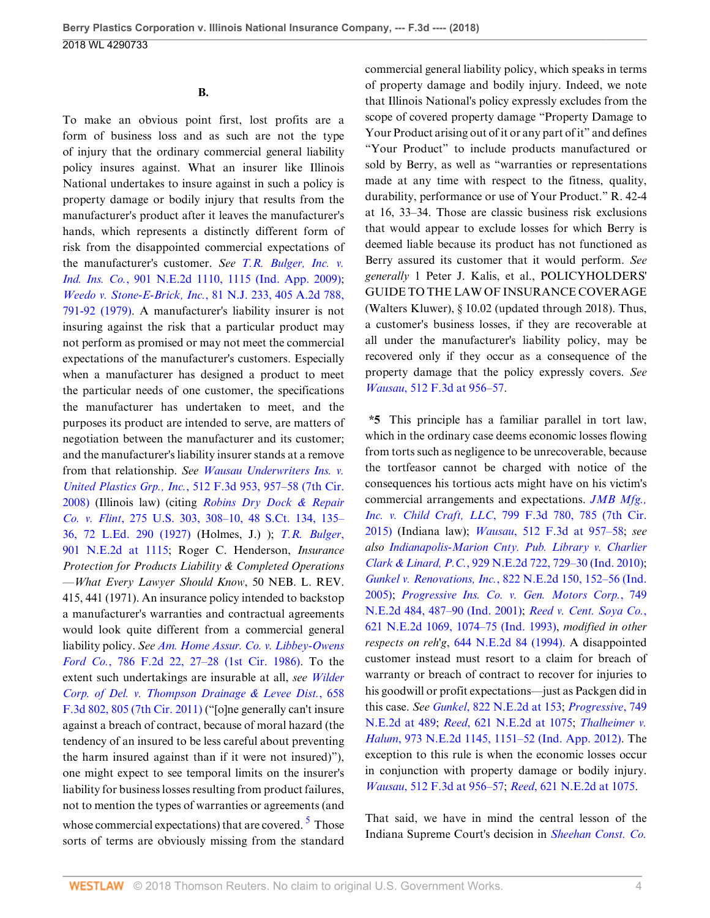**B.**

To make an obvious point first, lost profits are a form of business loss and as such are not the type of injury that the ordinary commercial general liability policy insures against. What an insurer like Illinois National undertakes to insure against in such a policy is property damage or bodily injury that results from the manufacturer's product after it leaves the manufacturer's hands, which represents a distinctly different form of risk from the disappointed commercial expectations of the manufacturer's customer. *See [T.R. Bulger, Inc. v.](http://www.westlaw.com/Link/Document/FullText?findType=Y&serNum=2018243481&pubNum=0000578&originatingDoc=Ia5a48e10b53111e8b93ad6f77bf99296&refType=RP&fi=co_pp_sp_578_1115&originationContext=document&vr=3.0&rs=cblt1.0&transitionType=DocumentItem&contextData=(sc.UserEnteredCitation)#co_pp_sp_578_1115) Ind. Ins. Co.*[, 901 N.E.2d 1110, 1115 \(Ind. App. 2009\)](http://www.westlaw.com/Link/Document/FullText?findType=Y&serNum=2018243481&pubNum=0000578&originatingDoc=Ia5a48e10b53111e8b93ad6f77bf99296&refType=RP&fi=co_pp_sp_578_1115&originationContext=document&vr=3.0&rs=cblt1.0&transitionType=DocumentItem&contextData=(sc.UserEnteredCitation)#co_pp_sp_578_1115); *[Weedo v. Stone-E-Brick, Inc.](http://www.westlaw.com/Link/Document/FullText?findType=Y&serNum=1979110144&pubNum=0000583&originatingDoc=Ia5a48e10b53111e8b93ad6f77bf99296&refType=RP&fi=co_pp_sp_583_791&originationContext=document&vr=3.0&rs=cblt1.0&transitionType=DocumentItem&contextData=(sc.UserEnteredCitation)#co_pp_sp_583_791)*, 81 N.J. 233, 405 A.2d 788, [791-92 \(1979\)](http://www.westlaw.com/Link/Document/FullText?findType=Y&serNum=1979110144&pubNum=0000583&originatingDoc=Ia5a48e10b53111e8b93ad6f77bf99296&refType=RP&fi=co_pp_sp_583_791&originationContext=document&vr=3.0&rs=cblt1.0&transitionType=DocumentItem&contextData=(sc.UserEnteredCitation)#co_pp_sp_583_791). A manufacturer's liability insurer is not insuring against the risk that a particular product may not perform as promised or may not meet the commercial expectations of the manufacturer's customers. Especially when a manufacturer has designed a product to meet the particular needs of one customer, the specifications the manufacturer has undertaken to meet, and the purposes its product are intended to serve, are matters of negotiation between the manufacturer and its customer; and the manufacturer's liability insurer stands at a remove from that relationship. *See [Wausau Underwriters Ins. v.](http://www.westlaw.com/Link/Document/FullText?findType=Y&serNum=2014713686&pubNum=0000506&originatingDoc=Ia5a48e10b53111e8b93ad6f77bf99296&refType=RP&fi=co_pp_sp_506_957&originationContext=document&vr=3.0&rs=cblt1.0&transitionType=DocumentItem&contextData=(sc.UserEnteredCitation)#co_pp_sp_506_957) United Plastics Grp., Inc.*[, 512 F.3d 953, 957–58 \(7th Cir.](http://www.westlaw.com/Link/Document/FullText?findType=Y&serNum=2014713686&pubNum=0000506&originatingDoc=Ia5a48e10b53111e8b93ad6f77bf99296&refType=RP&fi=co_pp_sp_506_957&originationContext=document&vr=3.0&rs=cblt1.0&transitionType=DocumentItem&contextData=(sc.UserEnteredCitation)#co_pp_sp_506_957) [2008\)](http://www.westlaw.com/Link/Document/FullText?findType=Y&serNum=2014713686&pubNum=0000506&originatingDoc=Ia5a48e10b53111e8b93ad6f77bf99296&refType=RP&fi=co_pp_sp_506_957&originationContext=document&vr=3.0&rs=cblt1.0&transitionType=DocumentItem&contextData=(sc.UserEnteredCitation)#co_pp_sp_506_957) (Illinois law) (citing *[Robins Dry Dock & Repair](http://www.westlaw.com/Link/Document/FullText?findType=Y&serNum=1927124285&pubNum=0000708&originatingDoc=Ia5a48e10b53111e8b93ad6f77bf99296&refType=RP&fi=co_pp_sp_708_135&originationContext=document&vr=3.0&rs=cblt1.0&transitionType=DocumentItem&contextData=(sc.UserEnteredCitation)#co_pp_sp_708_135) Co. v. Flint*[, 275 U.S. 303, 308–10, 48 S.Ct. 134, 135–](http://www.westlaw.com/Link/Document/FullText?findType=Y&serNum=1927124285&pubNum=0000708&originatingDoc=Ia5a48e10b53111e8b93ad6f77bf99296&refType=RP&fi=co_pp_sp_708_135&originationContext=document&vr=3.0&rs=cblt1.0&transitionType=DocumentItem&contextData=(sc.UserEnteredCitation)#co_pp_sp_708_135) [36, 72 L.Ed. 290 \(1927\)](http://www.westlaw.com/Link/Document/FullText?findType=Y&serNum=1927124285&pubNum=0000708&originatingDoc=Ia5a48e10b53111e8b93ad6f77bf99296&refType=RP&fi=co_pp_sp_708_135&originationContext=document&vr=3.0&rs=cblt1.0&transitionType=DocumentItem&contextData=(sc.UserEnteredCitation)#co_pp_sp_708_135) (Holmes, J.) ); *[T.R. Bulger](http://www.westlaw.com/Link/Document/FullText?findType=Y&serNum=2018243481&pubNum=0000578&originatingDoc=Ia5a48e10b53111e8b93ad6f77bf99296&refType=RP&fi=co_pp_sp_578_1115&originationContext=document&vr=3.0&rs=cblt1.0&transitionType=DocumentItem&contextData=(sc.UserEnteredCitation)#co_pp_sp_578_1115)*, [901 N.E.2d at 1115](http://www.westlaw.com/Link/Document/FullText?findType=Y&serNum=2018243481&pubNum=0000578&originatingDoc=Ia5a48e10b53111e8b93ad6f77bf99296&refType=RP&fi=co_pp_sp_578_1115&originationContext=document&vr=3.0&rs=cblt1.0&transitionType=DocumentItem&contextData=(sc.UserEnteredCitation)#co_pp_sp_578_1115); Roger C. Henderson, *Insurance Protection for Products Liability & Completed Operations —What Every Lawyer Should Know*, 50 NEB. L. REV. 415, 441 (1971). An insurance policy intended to backstop a manufacturer's warranties and contractual agreements would look quite different from a commercial general liability policy. *See [Am. Home Assur. Co. v. Libbey-Owens](http://www.westlaw.com/Link/Document/FullText?findType=Y&serNum=1986114047&pubNum=0000350&originatingDoc=Ia5a48e10b53111e8b93ad6f77bf99296&refType=RP&fi=co_pp_sp_350_27&originationContext=document&vr=3.0&rs=cblt1.0&transitionType=DocumentItem&contextData=(sc.UserEnteredCitation)#co_pp_sp_350_27) Ford Co.*[, 786 F.2d 22, 27–28 \(1st Cir. 1986\).](http://www.westlaw.com/Link/Document/FullText?findType=Y&serNum=1986114047&pubNum=0000350&originatingDoc=Ia5a48e10b53111e8b93ad6f77bf99296&refType=RP&fi=co_pp_sp_350_27&originationContext=document&vr=3.0&rs=cblt1.0&transitionType=DocumentItem&contextData=(sc.UserEnteredCitation)#co_pp_sp_350_27) To the extent such undertakings are insurable at all, *see [Wilder](http://www.westlaw.com/Link/Document/FullText?findType=Y&serNum=2026221663&pubNum=0000506&originatingDoc=Ia5a48e10b53111e8b93ad6f77bf99296&refType=RP&fi=co_pp_sp_506_805&originationContext=document&vr=3.0&rs=cblt1.0&transitionType=DocumentItem&contextData=(sc.UserEnteredCitation)#co_pp_sp_506_805) [Corp. of Del. v. Thompson Drainage & Levee Dist.](http://www.westlaw.com/Link/Document/FullText?findType=Y&serNum=2026221663&pubNum=0000506&originatingDoc=Ia5a48e10b53111e8b93ad6f77bf99296&refType=RP&fi=co_pp_sp_506_805&originationContext=document&vr=3.0&rs=cblt1.0&transitionType=DocumentItem&contextData=(sc.UserEnteredCitation)#co_pp_sp_506_805)*, 658 [F.3d 802, 805 \(7th Cir. 2011\)](http://www.westlaw.com/Link/Document/FullText?findType=Y&serNum=2026221663&pubNum=0000506&originatingDoc=Ia5a48e10b53111e8b93ad6f77bf99296&refType=RP&fi=co_pp_sp_506_805&originationContext=document&vr=3.0&rs=cblt1.0&transitionType=DocumentItem&contextData=(sc.UserEnteredCitation)#co_pp_sp_506_805) ("[o]ne generally can't insure against a breach of contract, because of moral hazard (the tendency of an insured to be less careful about preventing the harm insured against than if it were not insured)"), one might expect to see temporal limits on the insurer's liability for business losses resulting from product failures, not to mention the types of warranties or agreements (and whose commercial expectations) that are covered. <sup>[5](#page-11-4)</sup> Those sorts of terms are obviously missing from the standard

commercial general liability policy, which speaks in terms of property damage and bodily injury. Indeed, we note that Illinois National's policy expressly excludes from the scope of covered property damage "Property Damage to Your Product arising out of it or any part of it" and defines "Your Product" to include products manufactured or sold by Berry, as well as "warranties or representations made at any time with respect to the fitness, quality, durability, performance or use of Your Product." R. 42-4 at 16, 33–34. Those are classic business risk exclusions that would appear to exclude losses for which Berry is deemed liable because its product has not functioned as Berry assured its customer that it would perform. *See generally* 1 Peter J. Kalis, et al., POLICYHOLDERS' GUIDE TO THE LAW OF INSURANCE COVERAGE (Walters Kluwer), § 10.02 (updated through 2018). Thus, a customer's business losses, if they are recoverable at all under the manufacturer's liability policy, may be recovered only if they occur as a consequence of the property damage that the policy expressly covers. *See Wausau*[, 512 F.3d at 956–57.](http://www.westlaw.com/Link/Document/FullText?findType=Y&serNum=2014713686&pubNum=0000506&originatingDoc=Ia5a48e10b53111e8b93ad6f77bf99296&refType=RP&fi=co_pp_sp_506_956&originationContext=document&vr=3.0&rs=cblt1.0&transitionType=DocumentItem&contextData=(sc.UserEnteredCitation)#co_pp_sp_506_956)

**\*5** This principle has a familiar parallel in tort law, which in the ordinary case deems economic losses flowing from torts such as negligence to be unrecoverable, because the tortfeasor cannot be charged with notice of the consequences his tortious acts might have on his victim's commercial arrangements and expectations. *[JMB Mfg.,](http://www.westlaw.com/Link/Document/FullText?findType=Y&serNum=2036945717&pubNum=0000506&originatingDoc=Ia5a48e10b53111e8b93ad6f77bf99296&refType=RP&fi=co_pp_sp_506_785&originationContext=document&vr=3.0&rs=cblt1.0&transitionType=DocumentItem&contextData=(sc.UserEnteredCitation)#co_pp_sp_506_785) Inc. v. Child Craft, LLC*[, 799 F.3d 780, 785 \(7th Cir.](http://www.westlaw.com/Link/Document/FullText?findType=Y&serNum=2036945717&pubNum=0000506&originatingDoc=Ia5a48e10b53111e8b93ad6f77bf99296&refType=RP&fi=co_pp_sp_506_785&originationContext=document&vr=3.0&rs=cblt1.0&transitionType=DocumentItem&contextData=(sc.UserEnteredCitation)#co_pp_sp_506_785) [2015\)](http://www.westlaw.com/Link/Document/FullText?findType=Y&serNum=2036945717&pubNum=0000506&originatingDoc=Ia5a48e10b53111e8b93ad6f77bf99296&refType=RP&fi=co_pp_sp_506_785&originationContext=document&vr=3.0&rs=cblt1.0&transitionType=DocumentItem&contextData=(sc.UserEnteredCitation)#co_pp_sp_506_785) (Indiana law); *Wausau*[, 512 F.3d at 957–58](http://www.westlaw.com/Link/Document/FullText?findType=Y&serNum=2014713686&pubNum=0000506&originatingDoc=Ia5a48e10b53111e8b93ad6f77bf99296&refType=RP&fi=co_pp_sp_506_957&originationContext=document&vr=3.0&rs=cblt1.0&transitionType=DocumentItem&contextData=(sc.UserEnteredCitation)#co_pp_sp_506_957); *see also [Indianapolis-Marion Cnty. Pub. Library v. Charlier](http://www.westlaw.com/Link/Document/FullText?findType=Y&serNum=2022422051&pubNum=0000578&originatingDoc=Ia5a48e10b53111e8b93ad6f77bf99296&refType=RP&fi=co_pp_sp_578_729&originationContext=document&vr=3.0&rs=cblt1.0&transitionType=DocumentItem&contextData=(sc.UserEnteredCitation)#co_pp_sp_578_729) Clark & Linard, P.C.*[, 929 N.E.2d 722, 729–30 \(Ind. 2010\)](http://www.westlaw.com/Link/Document/FullText?findType=Y&serNum=2022422051&pubNum=0000578&originatingDoc=Ia5a48e10b53111e8b93ad6f77bf99296&refType=RP&fi=co_pp_sp_578_729&originationContext=document&vr=3.0&rs=cblt1.0&transitionType=DocumentItem&contextData=(sc.UserEnteredCitation)#co_pp_sp_578_729); *Gunkel v. Renovations, Inc.*[, 822 N.E.2d 150, 152–56 \(Ind.](http://www.westlaw.com/Link/Document/FullText?findType=Y&serNum=2006167753&pubNum=0000578&originatingDoc=Ia5a48e10b53111e8b93ad6f77bf99296&refType=RP&fi=co_pp_sp_578_152&originationContext=document&vr=3.0&rs=cblt1.0&transitionType=DocumentItem&contextData=(sc.UserEnteredCitation)#co_pp_sp_578_152) [2005\)](http://www.westlaw.com/Link/Document/FullText?findType=Y&serNum=2006167753&pubNum=0000578&originatingDoc=Ia5a48e10b53111e8b93ad6f77bf99296&refType=RP&fi=co_pp_sp_578_152&originationContext=document&vr=3.0&rs=cblt1.0&transitionType=DocumentItem&contextData=(sc.UserEnteredCitation)#co_pp_sp_578_152); *[Progressive Ins. Co. v. Gen. Motors Corp.](http://www.westlaw.com/Link/Document/FullText?findType=Y&serNum=2001485907&pubNum=0000578&originatingDoc=Ia5a48e10b53111e8b93ad6f77bf99296&refType=RP&fi=co_pp_sp_578_487&originationContext=document&vr=3.0&rs=cblt1.0&transitionType=DocumentItem&contextData=(sc.UserEnteredCitation)#co_pp_sp_578_487)*, 749 [N.E.2d 484, 487–90 \(Ind. 2001\)](http://www.westlaw.com/Link/Document/FullText?findType=Y&serNum=2001485907&pubNum=0000578&originatingDoc=Ia5a48e10b53111e8b93ad6f77bf99296&refType=RP&fi=co_pp_sp_578_487&originationContext=document&vr=3.0&rs=cblt1.0&transitionType=DocumentItem&contextData=(sc.UserEnteredCitation)#co_pp_sp_578_487); *[Reed v. Cent. Soya Co.](http://www.westlaw.com/Link/Document/FullText?findType=Y&serNum=1993181378&pubNum=0000578&originatingDoc=Ia5a48e10b53111e8b93ad6f77bf99296&refType=RP&fi=co_pp_sp_578_1074&originationContext=document&vr=3.0&rs=cblt1.0&transitionType=DocumentItem&contextData=(sc.UserEnteredCitation)#co_pp_sp_578_1074)*, [621 N.E.2d 1069, 1074–75 \(Ind. 1993\),](http://www.westlaw.com/Link/Document/FullText?findType=Y&serNum=1993181378&pubNum=0000578&originatingDoc=Ia5a48e10b53111e8b93ad6f77bf99296&refType=RP&fi=co_pp_sp_578_1074&originationContext=document&vr=3.0&rs=cblt1.0&transitionType=DocumentItem&contextData=(sc.UserEnteredCitation)#co_pp_sp_578_1074) *modified in other respects on reh'g*, [644 N.E.2d 84 \(1994\)](http://www.westlaw.com/Link/Document/FullText?findType=Y&serNum=1994241989&pubNum=0000578&originatingDoc=Ia5a48e10b53111e8b93ad6f77bf99296&refType=RP&originationContext=document&vr=3.0&rs=cblt1.0&transitionType=DocumentItem&contextData=(sc.UserEnteredCitation)). A disappointed customer instead must resort to a claim for breach of warranty or breach of contract to recover for injuries to his goodwill or profit expectations—just as Packgen did in this case. *See Gunkel*[, 822 N.E.2d at 153;](http://www.westlaw.com/Link/Document/FullText?findType=Y&serNum=2006167753&pubNum=0000578&originatingDoc=Ia5a48e10b53111e8b93ad6f77bf99296&refType=RP&fi=co_pp_sp_578_153&originationContext=document&vr=3.0&rs=cblt1.0&transitionType=DocumentItem&contextData=(sc.UserEnteredCitation)#co_pp_sp_578_153) *[Progressive](http://www.westlaw.com/Link/Document/FullText?findType=Y&serNum=2001485907&pubNum=0000578&originatingDoc=Ia5a48e10b53111e8b93ad6f77bf99296&refType=RP&fi=co_pp_sp_578_489&originationContext=document&vr=3.0&rs=cblt1.0&transitionType=DocumentItem&contextData=(sc.UserEnteredCitation)#co_pp_sp_578_489)*, 749 [N.E.2d at 489](http://www.westlaw.com/Link/Document/FullText?findType=Y&serNum=2001485907&pubNum=0000578&originatingDoc=Ia5a48e10b53111e8b93ad6f77bf99296&refType=RP&fi=co_pp_sp_578_489&originationContext=document&vr=3.0&rs=cblt1.0&transitionType=DocumentItem&contextData=(sc.UserEnteredCitation)#co_pp_sp_578_489); *Reed*[, 621 N.E.2d at 1075;](http://www.westlaw.com/Link/Document/FullText?findType=Y&serNum=1993181378&pubNum=0000578&originatingDoc=Ia5a48e10b53111e8b93ad6f77bf99296&refType=RP&fi=co_pp_sp_578_1075&originationContext=document&vr=3.0&rs=cblt1.0&transitionType=DocumentItem&contextData=(sc.UserEnteredCitation)#co_pp_sp_578_1075) *[Thalheimer v.](http://www.westlaw.com/Link/Document/FullText?findType=Y&serNum=2028394152&pubNum=0000578&originatingDoc=Ia5a48e10b53111e8b93ad6f77bf99296&refType=RP&fi=co_pp_sp_578_1151&originationContext=document&vr=3.0&rs=cblt1.0&transitionType=DocumentItem&contextData=(sc.UserEnteredCitation)#co_pp_sp_578_1151) Halum*[, 973 N.E.2d 1145, 1151–52 \(Ind. App. 2012\).](http://www.westlaw.com/Link/Document/FullText?findType=Y&serNum=2028394152&pubNum=0000578&originatingDoc=Ia5a48e10b53111e8b93ad6f77bf99296&refType=RP&fi=co_pp_sp_578_1151&originationContext=document&vr=3.0&rs=cblt1.0&transitionType=DocumentItem&contextData=(sc.UserEnteredCitation)#co_pp_sp_578_1151) The exception to this rule is when the economic losses occur in conjunction with property damage or bodily injury. *Wausau*[, 512 F.3d at 956–57;](http://www.westlaw.com/Link/Document/FullText?findType=Y&serNum=2014713686&pubNum=0000506&originatingDoc=Ia5a48e10b53111e8b93ad6f77bf99296&refType=RP&fi=co_pp_sp_506_956&originationContext=document&vr=3.0&rs=cblt1.0&transitionType=DocumentItem&contextData=(sc.UserEnteredCitation)#co_pp_sp_506_956) *Reed*[, 621 N.E.2d at 1075.](http://www.westlaw.com/Link/Document/FullText?findType=Y&serNum=1993181378&pubNum=0000578&originatingDoc=Ia5a48e10b53111e8b93ad6f77bf99296&refType=RP&fi=co_pp_sp_578_1075&originationContext=document&vr=3.0&rs=cblt1.0&transitionType=DocumentItem&contextData=(sc.UserEnteredCitation)#co_pp_sp_578_1075)

<span id="page-3-0"></span>That said, we have in mind the central lesson of the Indiana Supreme Court's decision in *[Sheehan Const. Co.](http://www.westlaw.com/Link/Document/FullText?findType=Y&serNum=2023214145&pubNum=0000578&originatingDoc=Ia5a48e10b53111e8b93ad6f77bf99296&refType=RP&originationContext=document&vr=3.0&rs=cblt1.0&transitionType=DocumentItem&contextData=(sc.UserEnteredCitation))*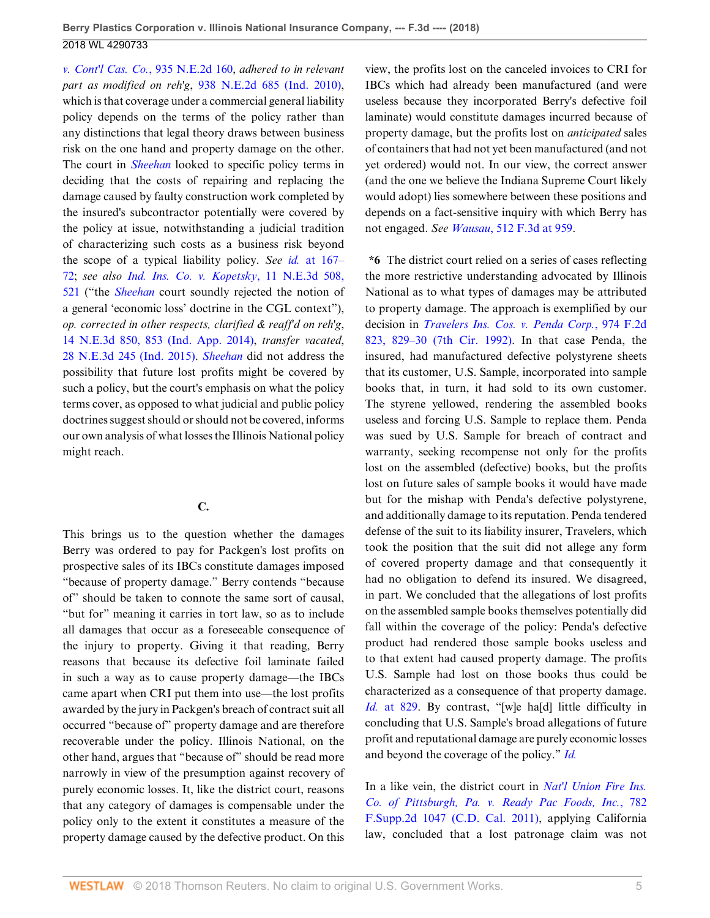*[v. Cont'l Cas. Co.](http://www.westlaw.com/Link/Document/FullText?findType=Y&serNum=2023214145&pubNum=0000578&originatingDoc=Ia5a48e10b53111e8b93ad6f77bf99296&refType=RP&originationContext=document&vr=3.0&rs=cblt1.0&transitionType=DocumentItem&contextData=(sc.UserEnteredCitation))*, 935 N.E.2d 160, *adhered to in relevant part as modified on reh'g*, [938 N.E.2d 685 \(Ind. 2010\)](http://www.westlaw.com/Link/Document/FullText?findType=Y&serNum=2024138028&pubNum=0000578&originatingDoc=Ia5a48e10b53111e8b93ad6f77bf99296&refType=RP&originationContext=document&vr=3.0&rs=cblt1.0&transitionType=DocumentItem&contextData=(sc.UserEnteredCitation)), which is that coverage under a commercial general liability policy depends on the terms of the policy rather than any distinctions that legal theory draws between business risk on the one hand and property damage on the other. The court in *[Sheehan](http://www.westlaw.com/Link/Document/FullText?findType=Y&serNum=2023214145&pubNum=0000578&originatingDoc=Ia5a48e10b53111e8b93ad6f77bf99296&refType=RP&originationContext=document&vr=3.0&rs=cblt1.0&transitionType=DocumentItem&contextData=(sc.UserEnteredCitation))* looked to specific policy terms in deciding that the costs of repairing and replacing the damage caused by faulty construction work completed by the insured's subcontractor potentially were covered by the policy at issue, notwithstanding a judicial tradition of characterizing such costs as a business risk beyond the scope of a typical liability policy. *See id.* [at 167–](http://www.westlaw.com/Link/Document/FullText?findType=Y&serNum=2023214145&pubNum=0000578&originatingDoc=Ia5a48e10b53111e8b93ad6f77bf99296&refType=RP&fi=co_pp_sp_578_167&originationContext=document&vr=3.0&rs=cblt1.0&transitionType=DocumentItem&contextData=(sc.UserEnteredCitation)#co_pp_sp_578_167) [72](http://www.westlaw.com/Link/Document/FullText?findType=Y&serNum=2023214145&pubNum=0000578&originatingDoc=Ia5a48e10b53111e8b93ad6f77bf99296&refType=RP&fi=co_pp_sp_578_167&originationContext=document&vr=3.0&rs=cblt1.0&transitionType=DocumentItem&contextData=(sc.UserEnteredCitation)#co_pp_sp_578_167); *see also [Ind. Ins. Co. v. Kopetsky](http://www.westlaw.com/Link/Document/FullText?findType=Y&serNum=2033514941&pubNum=0007902&originatingDoc=Ia5a48e10b53111e8b93ad6f77bf99296&refType=RP&fi=co_pp_sp_7902_521&originationContext=document&vr=3.0&rs=cblt1.0&transitionType=DocumentItem&contextData=(sc.UserEnteredCitation)#co_pp_sp_7902_521)*, 11 N.E.3d 508, [521](http://www.westlaw.com/Link/Document/FullText?findType=Y&serNum=2033514941&pubNum=0007902&originatingDoc=Ia5a48e10b53111e8b93ad6f77bf99296&refType=RP&fi=co_pp_sp_7902_521&originationContext=document&vr=3.0&rs=cblt1.0&transitionType=DocumentItem&contextData=(sc.UserEnteredCitation)#co_pp_sp_7902_521) ("the *[Sheehan](http://www.westlaw.com/Link/Document/FullText?findType=Y&serNum=2023214145&pubNum=0000578&originatingDoc=Ia5a48e10b53111e8b93ad6f77bf99296&refType=RP&originationContext=document&vr=3.0&rs=cblt1.0&transitionType=DocumentItem&contextData=(sc.UserEnteredCitation))* court soundly rejected the notion of a general 'economic loss' doctrine in the CGL context"), *op. corrected in other respects, clarified & reaff'd on reh'g*, [14 N.E.3d 850, 853 \(Ind. App. 2014\),](http://www.westlaw.com/Link/Document/FullText?findType=Y&serNum=2033998855&pubNum=0007902&originatingDoc=Ia5a48e10b53111e8b93ad6f77bf99296&refType=RP&fi=co_pp_sp_7902_853&originationContext=document&vr=3.0&rs=cblt1.0&transitionType=DocumentItem&contextData=(sc.UserEnteredCitation)#co_pp_sp_7902_853) *transfer vacated*, [28 N.E.3d 245 \(Ind. 2015\)](http://www.westlaw.com/Link/Document/FullText?findType=Y&serNum=2035760381&pubNum=0007902&originatingDoc=Ia5a48e10b53111e8b93ad6f77bf99296&refType=RP&originationContext=document&vr=3.0&rs=cblt1.0&transitionType=DocumentItem&contextData=(sc.UserEnteredCitation)). *[Sheehan](http://www.westlaw.com/Link/Document/FullText?findType=Y&serNum=2023214145&pubNum=0000578&originatingDoc=Ia5a48e10b53111e8b93ad6f77bf99296&refType=RP&originationContext=document&vr=3.0&rs=cblt1.0&transitionType=DocumentItem&contextData=(sc.UserEnteredCitation))* did not address the possibility that future lost profits might be covered by such a policy, but the court's emphasis on what the policy terms cover, as opposed to what judicial and public policy doctrines suggest should or should not be covered, informs our own analysis of what losses the Illinois National policy might reach.

### **C.**

This brings us to the question whether the damages Berry was ordered to pay for Packgen's lost profits on prospective sales of its IBCs constitute damages imposed "because of property damage." Berry contends "because of" should be taken to connote the same sort of causal, "but for" meaning it carries in tort law, so as to include all damages that occur as a foreseeable consequence of the injury to property. Giving it that reading, Berry reasons that because its defective foil laminate failed in such a way as to cause property damage—the IBCs came apart when CRI put them into use—the lost profits awarded by the jury in Packgen's breach of contract suit all occurred "because of" property damage and are therefore recoverable under the policy. Illinois National, on the other hand, argues that "because of" should be read more narrowly in view of the presumption against recovery of purely economic losses. It, like the district court, reasons that any category of damages is compensable under the policy only to the extent it constitutes a measure of the property damage caused by the defective product. On this view, the profits lost on the canceled invoices to CRI for IBCs which had already been manufactured (and were useless because they incorporated Berry's defective foil laminate) would constitute damages incurred because of property damage, but the profits lost on *anticipated* sales of containers that had not yet been manufactured (and not yet ordered) would not. In our view, the correct answer (and the one we believe the Indiana Supreme Court likely would adopt) lies somewhere between these positions and depends on a fact-sensitive inquiry with which Berry has not engaged. *See Wausau*[, 512 F.3d at 959.](http://www.westlaw.com/Link/Document/FullText?findType=Y&serNum=2014713686&pubNum=0000506&originatingDoc=Ia5a48e10b53111e8b93ad6f77bf99296&refType=RP&fi=co_pp_sp_506_959&originationContext=document&vr=3.0&rs=cblt1.0&transitionType=DocumentItem&contextData=(sc.UserEnteredCitation)#co_pp_sp_506_959)

**\*6** The district court relied on a series of cases reflecting the more restrictive understanding advocated by Illinois National as to what types of damages may be attributed to property damage. The approach is exemplified by our decision in *[Travelers Ins. Cos. v. Penda Corp.](http://www.westlaw.com/Link/Document/FullText?findType=Y&serNum=1992155257&pubNum=0000350&originatingDoc=Ia5a48e10b53111e8b93ad6f77bf99296&refType=RP&fi=co_pp_sp_350_829&originationContext=document&vr=3.0&rs=cblt1.0&transitionType=DocumentItem&contextData=(sc.UserEnteredCitation)#co_pp_sp_350_829)*, 974 F.2d [823, 829–30 \(7th Cir. 1992\)](http://www.westlaw.com/Link/Document/FullText?findType=Y&serNum=1992155257&pubNum=0000350&originatingDoc=Ia5a48e10b53111e8b93ad6f77bf99296&refType=RP&fi=co_pp_sp_350_829&originationContext=document&vr=3.0&rs=cblt1.0&transitionType=DocumentItem&contextData=(sc.UserEnteredCitation)#co_pp_sp_350_829). In that case Penda, the insured, had manufactured defective polystyrene sheets that its customer, U.S. Sample, incorporated into sample books that, in turn, it had sold to its own customer. The styrene yellowed, rendering the assembled books useless and forcing U.S. Sample to replace them. Penda was sued by U.S. Sample for breach of contract and warranty, seeking recompense not only for the profits lost on the assembled (defective) books, but the profits lost on future sales of sample books it would have made but for the mishap with Penda's defective polystyrene, and additionally damage to its reputation. Penda tendered defense of the suit to its liability insurer, Travelers, which took the position that the suit did not allege any form of covered property damage and that consequently it had no obligation to defend its insured. We disagreed, in part. We concluded that the allegations of lost profits on the assembled sample books themselves potentially did fall within the coverage of the policy: Penda's defective product had rendered those sample books useless and to that extent had caused property damage. The profits U.S. Sample had lost on those books thus could be characterized as a consequence of that property damage. *Id.* [at 829](http://www.westlaw.com/Link/Document/FullText?findType=Y&serNum=1992155257&pubNum=0000350&originatingDoc=Ia5a48e10b53111e8b93ad6f77bf99296&refType=RP&fi=co_pp_sp_350_829&originationContext=document&vr=3.0&rs=cblt1.0&transitionType=DocumentItem&contextData=(sc.UserEnteredCitation)#co_pp_sp_350_829). By contrast, "[w]e ha[d] little difficulty in concluding that U.S. Sample's broad allegations of future profit and reputational damage are purely economic losses and beyond the coverage of the policy." *[Id.](http://www.westlaw.com/Link/Document/FullText?findType=Y&serNum=1992155257&pubNum=0000350&originatingDoc=Ia5a48e10b53111e8b93ad6f77bf99296&refType=RP&originationContext=document&vr=3.0&rs=cblt1.0&transitionType=DocumentItem&contextData=(sc.UserEnteredCitation))*

In a like vein, the district court in *[Nat'l Union Fire Ins.](http://www.westlaw.com/Link/Document/FullText?findType=Y&serNum=2024867101&pubNum=0004637&originatingDoc=Ia5a48e10b53111e8b93ad6f77bf99296&refType=RP&originationContext=document&vr=3.0&rs=cblt1.0&transitionType=DocumentItem&contextData=(sc.UserEnteredCitation)) [Co. of Pittsburgh, Pa. v. Ready Pac Foods, Inc.](http://www.westlaw.com/Link/Document/FullText?findType=Y&serNum=2024867101&pubNum=0004637&originatingDoc=Ia5a48e10b53111e8b93ad6f77bf99296&refType=RP&originationContext=document&vr=3.0&rs=cblt1.0&transitionType=DocumentItem&contextData=(sc.UserEnteredCitation))*, 782 [F.Supp.2d 1047 \(C.D. Cal. 2011\),](http://www.westlaw.com/Link/Document/FullText?findType=Y&serNum=2024867101&pubNum=0004637&originatingDoc=Ia5a48e10b53111e8b93ad6f77bf99296&refType=RP&originationContext=document&vr=3.0&rs=cblt1.0&transitionType=DocumentItem&contextData=(sc.UserEnteredCitation)) applying California law, concluded that a lost patronage claim was not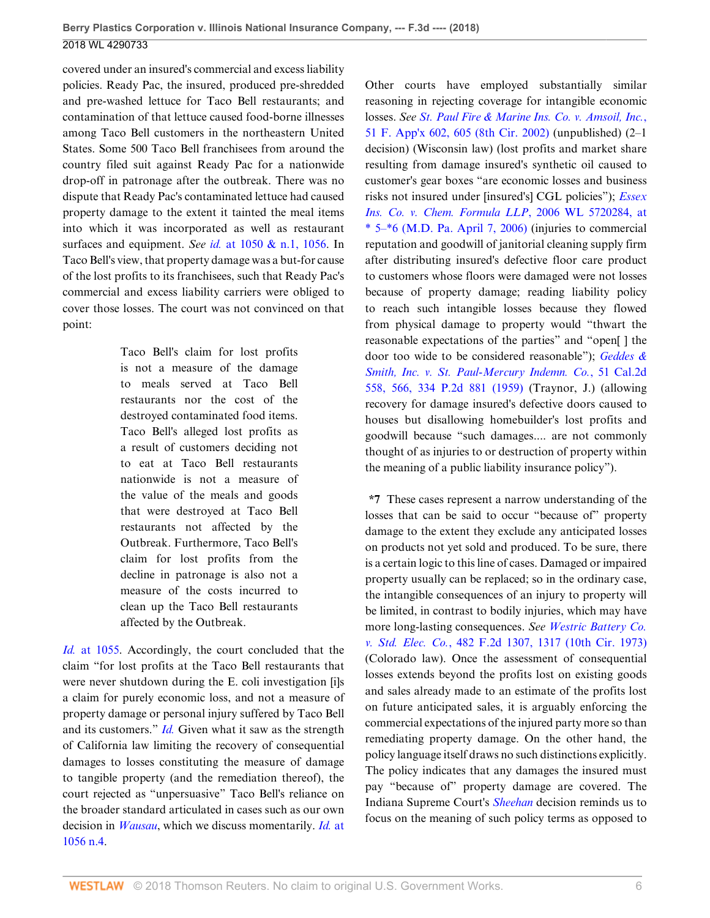covered under an insured's commercial and excess liability policies. Ready Pac, the insured, produced pre-shredded and pre-washed lettuce for Taco Bell restaurants; and contamination of that lettuce caused food-borne illnesses among Taco Bell customers in the northeastern United States. Some 500 Taco Bell franchisees from around the country filed suit against Ready Pac for a nationwide drop-off in patronage after the outbreak. There was no dispute that Ready Pac's contaminated lettuce had caused property damage to the extent it tainted the meal items into which it was incorporated as well as restaurant surfaces and equipment. *See id.* [at 1050 & n.1, 1056](http://www.westlaw.com/Link/Document/FullText?findType=Y&serNum=2024867101&pubNum=0004637&originatingDoc=Ia5a48e10b53111e8b93ad6f77bf99296&refType=RP&fi=co_pp_sp_4637_1050&originationContext=document&vr=3.0&rs=cblt1.0&transitionType=DocumentItem&contextData=(sc.UserEnteredCitation)#co_pp_sp_4637_1050). In Taco Bell's view, that property damage was a but-for cause of the lost profits to its franchisees, such that Ready Pac's commercial and excess liability carriers were obliged to cover those losses. The court was not convinced on that point:

> Taco Bell's claim for lost profits is not a measure of the damage to meals served at Taco Bell restaurants nor the cost of the destroyed contaminated food items. Taco Bell's alleged lost profits as a result of customers deciding not to eat at Taco Bell restaurants nationwide is not a measure of the value of the meals and goods that were destroyed at Taco Bell restaurants not affected by the Outbreak. Furthermore, Taco Bell's claim for lost profits from the decline in patronage is also not a measure of the costs incurred to clean up the Taco Bell restaurants affected by the Outbreak.

*Id.* [at 1055.](http://www.westlaw.com/Link/Document/FullText?findType=Y&serNum=2024867101&pubNum=0004637&originatingDoc=Ia5a48e10b53111e8b93ad6f77bf99296&refType=RP&fi=co_pp_sp_4637_1055&originationContext=document&vr=3.0&rs=cblt1.0&transitionType=DocumentItem&contextData=(sc.UserEnteredCitation)#co_pp_sp_4637_1055) Accordingly, the court concluded that the claim "for lost profits at the Taco Bell restaurants that were never shutdown during the E. coli investigation [i]s a claim for purely economic loss, and not a measure of property damage or personal injury suffered by Taco Bell and its customers." *[Id.](http://www.westlaw.com/Link/Document/FullText?findType=Y&serNum=2024867101&pubNum=0004637&originatingDoc=Ia5a48e10b53111e8b93ad6f77bf99296&refType=RP&originationContext=document&vr=3.0&rs=cblt1.0&transitionType=DocumentItem&contextData=(sc.UserEnteredCitation))* Given what it saw as the strength of California law limiting the recovery of consequential damages to losses constituting the measure of damage to tangible property (and the remediation thereof), the court rejected as "unpersuasive" Taco Bell's reliance on the broader standard articulated in cases such as our own decision in *[Wausau](http://www.westlaw.com/Link/Document/FullText?findType=Y&serNum=2014713686&pubNum=0000506&originatingDoc=Ia5a48e10b53111e8b93ad6f77bf99296&refType=RP&originationContext=document&vr=3.0&rs=cblt1.0&transitionType=DocumentItem&contextData=(sc.UserEnteredCitation))*, which we discuss momentarily. *[Id.](http://www.westlaw.com/Link/Document/FullText?findType=Y&serNum=2024867101&pubNum=0004637&originatingDoc=Ia5a48e10b53111e8b93ad6f77bf99296&refType=RP&fi=co_pp_sp_4637_1056&originationContext=document&vr=3.0&rs=cblt1.0&transitionType=DocumentItem&contextData=(sc.UserEnteredCitation)#co_pp_sp_4637_1056)* at [1056 n.4.](http://www.westlaw.com/Link/Document/FullText?findType=Y&serNum=2024867101&pubNum=0004637&originatingDoc=Ia5a48e10b53111e8b93ad6f77bf99296&refType=RP&fi=co_pp_sp_4637_1056&originationContext=document&vr=3.0&rs=cblt1.0&transitionType=DocumentItem&contextData=(sc.UserEnteredCitation)#co_pp_sp_4637_1056)

Other courts have employed substantially similar reasoning in rejecting coverage for intangible economic losses. *See [St. Paul Fire & Marine Ins. Co. v. Amsoil, Inc.](http://www.westlaw.com/Link/Document/FullText?findType=Y&serNum=2002650174&pubNum=0006538&originatingDoc=Ia5a48e10b53111e8b93ad6f77bf99296&refType=RP&fi=co_pp_sp_6538_605&originationContext=document&vr=3.0&rs=cblt1.0&transitionType=DocumentItem&contextData=(sc.UserEnteredCitation)#co_pp_sp_6538_605)*, [51 F. App'x 602, 605 \(8th Cir. 2002\)](http://www.westlaw.com/Link/Document/FullText?findType=Y&serNum=2002650174&pubNum=0006538&originatingDoc=Ia5a48e10b53111e8b93ad6f77bf99296&refType=RP&fi=co_pp_sp_6538_605&originationContext=document&vr=3.0&rs=cblt1.0&transitionType=DocumentItem&contextData=(sc.UserEnteredCitation)#co_pp_sp_6538_605) (unpublished) (2–1 decision) (Wisconsin law) (lost profits and market share resulting from damage insured's synthetic oil caused to customer's gear boxes "are economic losses and business risks not insured under [insured's] CGL policies"); *[Essex](http://www.westlaw.com/Link/Document/FullText?findType=Y&serNum=2016168574&pubNum=0000999&originatingDoc=Ia5a48e10b53111e8b93ad6f77bf99296&refType=RP&originationContext=document&vr=3.0&rs=cblt1.0&transitionType=DocumentItem&contextData=(sc.UserEnteredCitation)) [Ins. Co. v. Chem. Formula LLP](http://www.westlaw.com/Link/Document/FullText?findType=Y&serNum=2016168574&pubNum=0000999&originatingDoc=Ia5a48e10b53111e8b93ad6f77bf99296&refType=RP&originationContext=document&vr=3.0&rs=cblt1.0&transitionType=DocumentItem&contextData=(sc.UserEnteredCitation))*, 2006 WL 5720284, at [\\* 5–\\*6 \(M.D. Pa. April 7, 2006\)](http://www.westlaw.com/Link/Document/FullText?findType=Y&serNum=2016168574&pubNum=0000999&originatingDoc=Ia5a48e10b53111e8b93ad6f77bf99296&refType=RP&originationContext=document&vr=3.0&rs=cblt1.0&transitionType=DocumentItem&contextData=(sc.UserEnteredCitation)) (injuries to commercial reputation and goodwill of janitorial cleaning supply firm after distributing insured's defective floor care product to customers whose floors were damaged were not losses because of property damage; reading liability policy to reach such intangible losses because they flowed from physical damage to property would "thwart the reasonable expectations of the parties" and "open[ ] the door too wide to be considered reasonable"); *[Geddes &](http://www.westlaw.com/Link/Document/FullText?findType=Y&serNum=1959121038&pubNum=0000661&originatingDoc=Ia5a48e10b53111e8b93ad6f77bf99296&refType=RP&fi=co_pp_sp_661_566&originationContext=document&vr=3.0&rs=cblt1.0&transitionType=DocumentItem&contextData=(sc.UserEnteredCitation)#co_pp_sp_661_566) [Smith, Inc. v. St. Paul-Mercury Indemn. Co.](http://www.westlaw.com/Link/Document/FullText?findType=Y&serNum=1959121038&pubNum=0000661&originatingDoc=Ia5a48e10b53111e8b93ad6f77bf99296&refType=RP&fi=co_pp_sp_661_566&originationContext=document&vr=3.0&rs=cblt1.0&transitionType=DocumentItem&contextData=(sc.UserEnteredCitation)#co_pp_sp_661_566)*, 51 Cal.2d [558, 566, 334 P.2d 881 \(1959\)](http://www.westlaw.com/Link/Document/FullText?findType=Y&serNum=1959121038&pubNum=0000661&originatingDoc=Ia5a48e10b53111e8b93ad6f77bf99296&refType=RP&fi=co_pp_sp_661_566&originationContext=document&vr=3.0&rs=cblt1.0&transitionType=DocumentItem&contextData=(sc.UserEnteredCitation)#co_pp_sp_661_566) (Traynor, J.) (allowing recovery for damage insured's defective doors caused to houses but disallowing homebuilder's lost profits and goodwill because "such damages.... are not commonly thought of as injuries to or destruction of property within the meaning of a public liability insurance policy").

**\*7** These cases represent a narrow understanding of the losses that can be said to occur "because of" property damage to the extent they exclude any anticipated losses on products not yet sold and produced. To be sure, there is a certain logic to this line of cases. Damaged or impaired property usually can be replaced; so in the ordinary case, the intangible consequences of an injury to property will be limited, in contrast to bodily injuries, which may have more long-lasting consequences. *See [Westric Battery Co.](http://www.westlaw.com/Link/Document/FullText?findType=Y&serNum=1973111105&pubNum=0000350&originatingDoc=Ia5a48e10b53111e8b93ad6f77bf99296&refType=RP&fi=co_pp_sp_350_1317&originationContext=document&vr=3.0&rs=cblt1.0&transitionType=DocumentItem&contextData=(sc.UserEnteredCitation)#co_pp_sp_350_1317) v. Std. Elec. Co.*[, 482 F.2d 1307, 1317 \(10th Cir. 1973\)](http://www.westlaw.com/Link/Document/FullText?findType=Y&serNum=1973111105&pubNum=0000350&originatingDoc=Ia5a48e10b53111e8b93ad6f77bf99296&refType=RP&fi=co_pp_sp_350_1317&originationContext=document&vr=3.0&rs=cblt1.0&transitionType=DocumentItem&contextData=(sc.UserEnteredCitation)#co_pp_sp_350_1317) (Colorado law). Once the assessment of consequential losses extends beyond the profits lost on existing goods and sales already made to an estimate of the profits lost on future anticipated sales, it is arguably enforcing the commercial expectations of the injured party more so than remediating property damage. On the other hand, the policy language itself draws no such distinctions explicitly. The policy indicates that any damages the insured must pay "because of" property damage are covered. The Indiana Supreme Court's *[Sheehan](http://www.westlaw.com/Link/Document/FullText?findType=Y&serNum=2023214145&pubNum=0000578&originatingDoc=Ia5a48e10b53111e8b93ad6f77bf99296&refType=RP&originationContext=document&vr=3.0&rs=cblt1.0&transitionType=DocumentItem&contextData=(sc.UserEnteredCitation))* decision reminds us to focus on the meaning of such policy terms as opposed to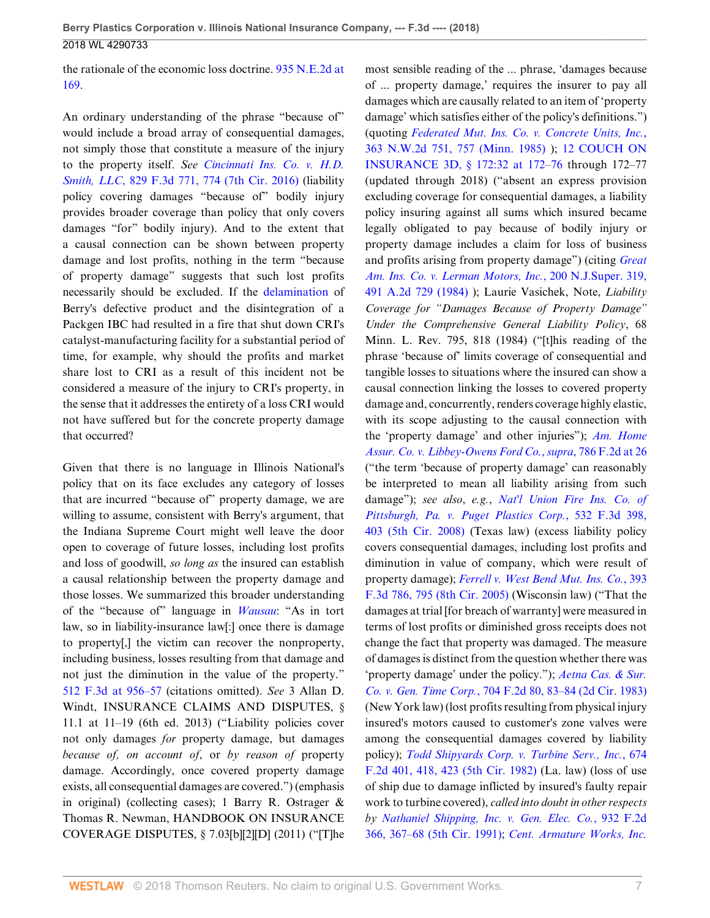the rationale of the economic loss doctrine. [935 N.E.2d at](http://www.westlaw.com/Link/Document/FullText?findType=Y&serNum=2023214145&pubNum=0000578&originatingDoc=Ia5a48e10b53111e8b93ad6f77bf99296&refType=RP&fi=co_pp_sp_578_169&originationContext=document&vr=3.0&rs=cblt1.0&transitionType=DocumentItem&contextData=(sc.UserEnteredCitation)#co_pp_sp_578_169) [169](http://www.westlaw.com/Link/Document/FullText?findType=Y&serNum=2023214145&pubNum=0000578&originatingDoc=Ia5a48e10b53111e8b93ad6f77bf99296&refType=RP&fi=co_pp_sp_578_169&originationContext=document&vr=3.0&rs=cblt1.0&transitionType=DocumentItem&contextData=(sc.UserEnteredCitation)#co_pp_sp_578_169).

An ordinary understanding of the phrase "because of" would include a broad array of consequential damages, not simply those that constitute a measure of the injury to the property itself. *See [Cincinnati Ins. Co. v. H.D.](http://www.westlaw.com/Link/Document/FullText?findType=Y&serNum=2039398645&pubNum=0000506&originatingDoc=Ia5a48e10b53111e8b93ad6f77bf99296&refType=RP&fi=co_pp_sp_506_774&originationContext=document&vr=3.0&rs=cblt1.0&transitionType=DocumentItem&contextData=(sc.UserEnteredCitation)#co_pp_sp_506_774) Smith, LLC*[, 829 F.3d 771, 774 \(7th Cir. 2016\)](http://www.westlaw.com/Link/Document/FullText?findType=Y&serNum=2039398645&pubNum=0000506&originatingDoc=Ia5a48e10b53111e8b93ad6f77bf99296&refType=RP&fi=co_pp_sp_506_774&originationContext=document&vr=3.0&rs=cblt1.0&transitionType=DocumentItem&contextData=(sc.UserEnteredCitation)#co_pp_sp_506_774) (liability policy covering damages "because of" bodily injury provides broader coverage than policy that only covers damages "for" bodily injury). And to the extent that a causal connection can be shown between property damage and lost profits, nothing in the term "because of property damage" suggests that such lost profits necessarily should be excluded. If the [delamination](http://www.westlaw.com/Link/Document/FullText?entityType=mproc&entityId=Ic304d3e5475411db9765f9243f53508a&originationContext=document&transitionType=DocumentItem&contextData=(sc.Default)&vr=3.0&rs=cblt1.0) of Berry's defective product and the disintegration of a Packgen IBC had resulted in a fire that shut down CRI's catalyst-manufacturing facility for a substantial period of time, for example, why should the profits and market share lost to CRI as a result of this incident not be considered a measure of the injury to CRI's property, in the sense that it addresses the entirety of a loss CRI would not have suffered but for the concrete property damage that occurred?

Given that there is no language in Illinois National's policy that on its face excludes any category of losses that are incurred "because of" property damage, we are willing to assume, consistent with Berry's argument, that the Indiana Supreme Court might well leave the door open to coverage of future losses, including lost profits and loss of goodwill, *so long as* the insured can establish a causal relationship between the property damage and those losses. We summarized this broader understanding of the "because of" language in *[Wausau](http://www.westlaw.com/Link/Document/FullText?findType=Y&serNum=2014713686&pubNum=0000506&originatingDoc=Ia5a48e10b53111e8b93ad6f77bf99296&refType=RP&originationContext=document&vr=3.0&rs=cblt1.0&transitionType=DocumentItem&contextData=(sc.UserEnteredCitation))*: "As in tort law, so in liability-insurance law[:] once there is damage to property[,] the victim can recover the nonproperty, including business, losses resulting from that damage and not just the diminution in the value of the property." [512 F.3d at 956–57](http://www.westlaw.com/Link/Document/FullText?findType=Y&serNum=2014713686&pubNum=0000506&originatingDoc=Ia5a48e10b53111e8b93ad6f77bf99296&refType=RP&fi=co_pp_sp_506_956&originationContext=document&vr=3.0&rs=cblt1.0&transitionType=DocumentItem&contextData=(sc.UserEnteredCitation)#co_pp_sp_506_956) (citations omitted). *See* 3 Allan D. Windt, INSURANCE CLAIMS AND DISPUTES, § 11.1 at  $11-19$  (6th ed. 2013) ("Liability policies cover not only damages *for* property damage, but damages *because of, on account of*, or *by reason of* property damage. Accordingly, once covered property damage exists, all consequential damages are covered.") (emphasis in original) (collecting cases); 1 Barry R. Ostrager & Thomas R. Newman, HANDBOOK ON INSURANCE COVERAGE DISPUTES, § 7.03[b][2][D] (2011) ("[T]he most sensible reading of the ... phrase, 'damages because of ... property damage,' requires the insurer to pay all damages which are causally related to an item of 'property damage' which satisfies either of the policy's definitions.") (quoting *[Federated Mut. Ins. Co. v. Concrete Units, Inc.](http://www.westlaw.com/Link/Document/FullText?findType=Y&serNum=1985112031&pubNum=0000595&originatingDoc=Ia5a48e10b53111e8b93ad6f77bf99296&refType=RP&fi=co_pp_sp_595_757&originationContext=document&vr=3.0&rs=cblt1.0&transitionType=DocumentItem&contextData=(sc.UserEnteredCitation)#co_pp_sp_595_757)*, [363 N.W.2d 751, 757 \(Minn. 1985\)](http://www.westlaw.com/Link/Document/FullText?findType=Y&serNum=1985112031&pubNum=0000595&originatingDoc=Ia5a48e10b53111e8b93ad6f77bf99296&refType=RP&fi=co_pp_sp_595_757&originationContext=document&vr=3.0&rs=cblt1.0&transitionType=DocumentItem&contextData=(sc.UserEnteredCitation)#co_pp_sp_595_757) ); [12 COUCH ON](http://www.westlaw.com/Link/Document/FullText?findType=Y&serNum=0299590256&pubNum=0111947&originatingDoc=Ia5a48e10b53111e8b93ad6f77bf99296&refType=TS&originationContext=document&vr=3.0&rs=cblt1.0&transitionType=DocumentItem&contextData=(sc.UserEnteredCitation)) [INSURANCE 3D, § 172:32 at 172–76](http://www.westlaw.com/Link/Document/FullText?findType=Y&serNum=0299590256&pubNum=0111947&originatingDoc=Ia5a48e10b53111e8b93ad6f77bf99296&refType=TS&originationContext=document&vr=3.0&rs=cblt1.0&transitionType=DocumentItem&contextData=(sc.UserEnteredCitation)) through 172–77 (updated through 2018) ("absent an express provision excluding coverage for consequential damages, a liability policy insuring against all sums which insured became legally obligated to pay because of bodily injury or property damage includes a claim for loss of business and profits arising from property damage") (citing *[Great](http://www.westlaw.com/Link/Document/FullText?findType=Y&serNum=1985124624&pubNum=0000590&originatingDoc=Ia5a48e10b53111e8b93ad6f77bf99296&refType=RP&originationContext=document&vr=3.0&rs=cblt1.0&transitionType=DocumentItem&contextData=(sc.UserEnteredCitation)) [Am. Ins. Co. v. Lerman Motors, Inc.](http://www.westlaw.com/Link/Document/FullText?findType=Y&serNum=1985124624&pubNum=0000590&originatingDoc=Ia5a48e10b53111e8b93ad6f77bf99296&refType=RP&originationContext=document&vr=3.0&rs=cblt1.0&transitionType=DocumentItem&contextData=(sc.UserEnteredCitation))*, 200 N.J.Super. 319, [491 A.2d 729 \(1984\)](http://www.westlaw.com/Link/Document/FullText?findType=Y&serNum=1985124624&pubNum=0000590&originatingDoc=Ia5a48e10b53111e8b93ad6f77bf99296&refType=RP&originationContext=document&vr=3.0&rs=cblt1.0&transitionType=DocumentItem&contextData=(sc.UserEnteredCitation)) ); Laurie Vasichek, Note, *Liability Coverage for "Damages Because of Property Damage" Under the Comprehensive General Liability Policy*, 68 Minn. L. Rev. 795, 818 (1984) ("[t]his reading of the phrase 'because of' limits coverage of consequential and tangible losses to situations where the insured can show a causal connection linking the losses to covered property damage and, concurrently, renders coverage highly elastic, with its scope adjusting to the causal connection with the 'property damage' and other injuries"); *[Am. Home](http://www.westlaw.com/Link/Document/FullText?findType=Y&serNum=1986114047&pubNum=0000350&originatingDoc=Ia5a48e10b53111e8b93ad6f77bf99296&refType=RP&fi=co_pp_sp_350_26&originationContext=document&vr=3.0&rs=cblt1.0&transitionType=DocumentItem&contextData=(sc.UserEnteredCitation)#co_pp_sp_350_26) [Assur. Co. v. Libbey-Owens Ford Co.](http://www.westlaw.com/Link/Document/FullText?findType=Y&serNum=1986114047&pubNum=0000350&originatingDoc=Ia5a48e10b53111e8b93ad6f77bf99296&refType=RP&fi=co_pp_sp_350_26&originationContext=document&vr=3.0&rs=cblt1.0&transitionType=DocumentItem&contextData=(sc.UserEnteredCitation)#co_pp_sp_350_26)*, *supra*, 786 F.2d at 26 ("the term 'because of property damage' can reasonably be interpreted to mean all liability arising from such damage"); *see also*, *e.g.*, *[Nat'l Union Fire Ins. Co. of](http://www.westlaw.com/Link/Document/FullText?findType=Y&serNum=2016363339&pubNum=0000506&originatingDoc=Ia5a48e10b53111e8b93ad6f77bf99296&refType=RP&fi=co_pp_sp_506_403&originationContext=document&vr=3.0&rs=cblt1.0&transitionType=DocumentItem&contextData=(sc.UserEnteredCitation)#co_pp_sp_506_403) [Pittsburgh, Pa. v. Puget Plastics Corp.](http://www.westlaw.com/Link/Document/FullText?findType=Y&serNum=2016363339&pubNum=0000506&originatingDoc=Ia5a48e10b53111e8b93ad6f77bf99296&refType=RP&fi=co_pp_sp_506_403&originationContext=document&vr=3.0&rs=cblt1.0&transitionType=DocumentItem&contextData=(sc.UserEnteredCitation)#co_pp_sp_506_403)*, 532 F.3d 398, [403 \(5th Cir. 2008\)](http://www.westlaw.com/Link/Document/FullText?findType=Y&serNum=2016363339&pubNum=0000506&originatingDoc=Ia5a48e10b53111e8b93ad6f77bf99296&refType=RP&fi=co_pp_sp_506_403&originationContext=document&vr=3.0&rs=cblt1.0&transitionType=DocumentItem&contextData=(sc.UserEnteredCitation)#co_pp_sp_506_403) (Texas law) (excess liability policy covers consequential damages, including lost profits and diminution in value of company, which were result of property damage); *[Ferrell v. West Bend Mut. Ins. Co.](http://www.westlaw.com/Link/Document/FullText?findType=Y&serNum=2005899169&pubNum=0000506&originatingDoc=Ia5a48e10b53111e8b93ad6f77bf99296&refType=RP&fi=co_pp_sp_506_795&originationContext=document&vr=3.0&rs=cblt1.0&transitionType=DocumentItem&contextData=(sc.UserEnteredCitation)#co_pp_sp_506_795)*, 393 [F.3d 786, 795 \(8th Cir. 2005\)](http://www.westlaw.com/Link/Document/FullText?findType=Y&serNum=2005899169&pubNum=0000506&originatingDoc=Ia5a48e10b53111e8b93ad6f77bf99296&refType=RP&fi=co_pp_sp_506_795&originationContext=document&vr=3.0&rs=cblt1.0&transitionType=DocumentItem&contextData=(sc.UserEnteredCitation)#co_pp_sp_506_795) (Wisconsin law) ("That the damages at trial [for breach of warranty] were measured in terms of lost profits or diminished gross receipts does not change the fact that property was damaged. The measure of damages is distinct from the question whether there was 'property damage' under the policy."); *[Aetna Cas. & Sur.](http://www.westlaw.com/Link/Document/FullText?findType=Y&serNum=1983117124&pubNum=0000350&originatingDoc=Ia5a48e10b53111e8b93ad6f77bf99296&refType=RP&fi=co_pp_sp_350_83&originationContext=document&vr=3.0&rs=cblt1.0&transitionType=DocumentItem&contextData=(sc.UserEnteredCitation)#co_pp_sp_350_83) Co. v. Gen. Time Corp.*[, 704 F.2d 80, 83–84 \(2d Cir. 1983\)](http://www.westlaw.com/Link/Document/FullText?findType=Y&serNum=1983117124&pubNum=0000350&originatingDoc=Ia5a48e10b53111e8b93ad6f77bf99296&refType=RP&fi=co_pp_sp_350_83&originationContext=document&vr=3.0&rs=cblt1.0&transitionType=DocumentItem&contextData=(sc.UserEnteredCitation)#co_pp_sp_350_83) (New York law) (lost profits resulting from physical injury insured's motors caused to customer's zone valves were among the consequential damages covered by liability policy); *[Todd Shipyards Corp. v. Turbine Serv., Inc.](http://www.westlaw.com/Link/Document/FullText?findType=Y&serNum=1982116778&pubNum=0000350&originatingDoc=Ia5a48e10b53111e8b93ad6f77bf99296&refType=RP&fi=co_pp_sp_350_418&originationContext=document&vr=3.0&rs=cblt1.0&transitionType=DocumentItem&contextData=(sc.UserEnteredCitation)#co_pp_sp_350_418)*, 674 [F.2d 401, 418, 423 \(5th Cir. 1982\)](http://www.westlaw.com/Link/Document/FullText?findType=Y&serNum=1982116778&pubNum=0000350&originatingDoc=Ia5a48e10b53111e8b93ad6f77bf99296&refType=RP&fi=co_pp_sp_350_418&originationContext=document&vr=3.0&rs=cblt1.0&transitionType=DocumentItem&contextData=(sc.UserEnteredCitation)#co_pp_sp_350_418) (La. law) (loss of use of ship due to damage inflicted by insured's faulty repair work to turbine covered), *called into doubt in other respects by [Nathaniel Shipping, Inc. v. Gen. Elec. Co.](http://www.westlaw.com/Link/Document/FullText?findType=Y&serNum=1991094838&pubNum=0000350&originatingDoc=Ia5a48e10b53111e8b93ad6f77bf99296&refType=RP&fi=co_pp_sp_350_367&originationContext=document&vr=3.0&rs=cblt1.0&transitionType=DocumentItem&contextData=(sc.UserEnteredCitation)#co_pp_sp_350_367)*, 932 F.2d [366, 367–68 \(5th Cir. 1991\);](http://www.westlaw.com/Link/Document/FullText?findType=Y&serNum=1991094838&pubNum=0000350&originatingDoc=Ia5a48e10b53111e8b93ad6f77bf99296&refType=RP&fi=co_pp_sp_350_367&originationContext=document&vr=3.0&rs=cblt1.0&transitionType=DocumentItem&contextData=(sc.UserEnteredCitation)#co_pp_sp_350_367) *[Cent. Armature Works, Inc.](http://www.westlaw.com/Link/Document/FullText?findType=Y&serNum=1981136942&pubNum=0000345&originatingDoc=Ia5a48e10b53111e8b93ad6f77bf99296&refType=RP&fi=co_pp_sp_345_289&originationContext=document&vr=3.0&rs=cblt1.0&transitionType=DocumentItem&contextData=(sc.UserEnteredCitation)#co_pp_sp_345_289)*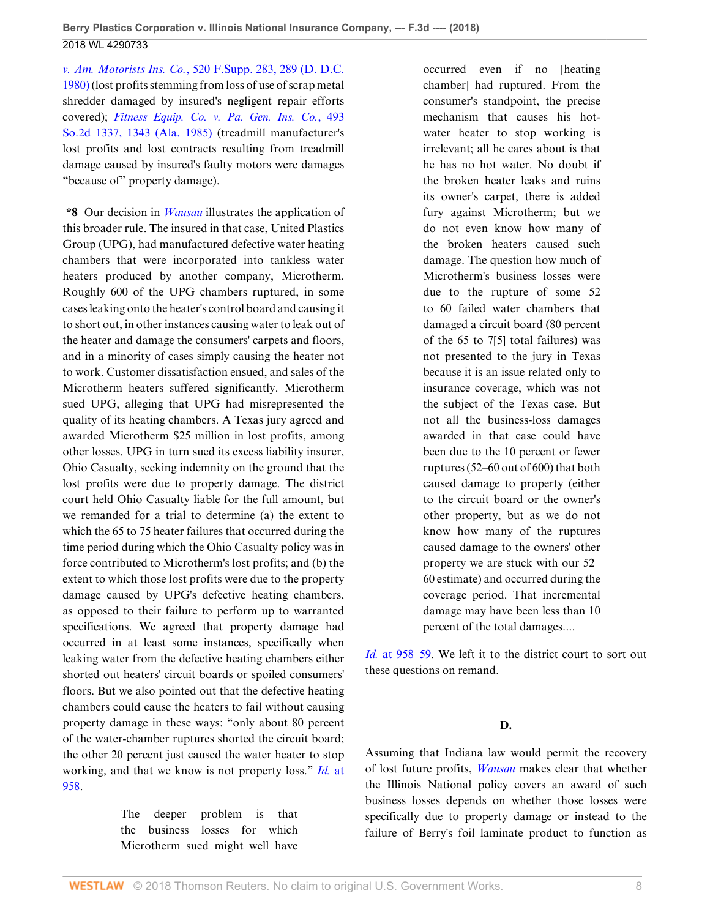*v. Am. Motorists Ins. Co.*[, 520 F.Supp. 283, 289 \(D. D.C.](http://www.westlaw.com/Link/Document/FullText?findType=Y&serNum=1981136942&pubNum=0000345&originatingDoc=Ia5a48e10b53111e8b93ad6f77bf99296&refType=RP&fi=co_pp_sp_345_289&originationContext=document&vr=3.0&rs=cblt1.0&transitionType=DocumentItem&contextData=(sc.UserEnteredCitation)#co_pp_sp_345_289) [1980\)](http://www.westlaw.com/Link/Document/FullText?findType=Y&serNum=1981136942&pubNum=0000345&originatingDoc=Ia5a48e10b53111e8b93ad6f77bf99296&refType=RP&fi=co_pp_sp_345_289&originationContext=document&vr=3.0&rs=cblt1.0&transitionType=DocumentItem&contextData=(sc.UserEnteredCitation)#co_pp_sp_345_289) (lost profits stemming from loss of use of scrap metal shredder damaged by insured's negligent repair efforts covered); *[Fitness Equip. Co. v. Pa. Gen. Ins. Co.](http://www.westlaw.com/Link/Document/FullText?findType=Y&serNum=1985151172&pubNum=0000735&originatingDoc=Ia5a48e10b53111e8b93ad6f77bf99296&refType=RP&fi=co_pp_sp_735_1343&originationContext=document&vr=3.0&rs=cblt1.0&transitionType=DocumentItem&contextData=(sc.UserEnteredCitation)#co_pp_sp_735_1343)*, 493 [So.2d 1337, 1343 \(Ala. 1985\)](http://www.westlaw.com/Link/Document/FullText?findType=Y&serNum=1985151172&pubNum=0000735&originatingDoc=Ia5a48e10b53111e8b93ad6f77bf99296&refType=RP&fi=co_pp_sp_735_1343&originationContext=document&vr=3.0&rs=cblt1.0&transitionType=DocumentItem&contextData=(sc.UserEnteredCitation)#co_pp_sp_735_1343) (treadmill manufacturer's lost profits and lost contracts resulting from treadmill damage caused by insured's faulty motors were damages "because of" property damage).

**\*8** Our decision in *[Wausau](http://www.westlaw.com/Link/Document/FullText?findType=Y&serNum=2014713686&pubNum=0000506&originatingDoc=Ia5a48e10b53111e8b93ad6f77bf99296&refType=RP&originationContext=document&vr=3.0&rs=cblt1.0&transitionType=DocumentItem&contextData=(sc.UserEnteredCitation))* illustrates the application of this broader rule. The insured in that case, United Plastics Group (UPG), had manufactured defective water heating chambers that were incorporated into tankless water heaters produced by another company, Microtherm. Roughly 600 of the UPG chambers ruptured, in some cases leaking onto the heater's control board and causing it to short out, in other instances causing water to leak out of the heater and damage the consumers' carpets and floors, and in a minority of cases simply causing the heater not to work. Customer dissatisfaction ensued, and sales of the Microtherm heaters suffered significantly. Microtherm sued UPG, alleging that UPG had misrepresented the quality of its heating chambers. A Texas jury agreed and awarded Microtherm \$25 million in lost profits, among other losses. UPG in turn sued its excess liability insurer, Ohio Casualty, seeking indemnity on the ground that the lost profits were due to property damage. The district court held Ohio Casualty liable for the full amount, but we remanded for a trial to determine (a) the extent to which the 65 to 75 heater failures that occurred during the time period during which the Ohio Casualty policy was in force contributed to Microtherm's lost profits; and (b) the extent to which those lost profits were due to the property damage caused by UPG's defective heating chambers, as opposed to their failure to perform up to warranted specifications. We agreed that property damage had occurred in at least some instances, specifically when leaking water from the defective heating chambers either shorted out heaters' circuit boards or spoiled consumers' floors. But we also pointed out that the defective heating chambers could cause the heaters to fail without causing property damage in these ways: "only about 80 percent of the water-chamber ruptures shorted the circuit board; the other 20 percent just caused the water heater to stop working, and that we know is not property loss." *Id.* [at](http://www.westlaw.com/Link/Document/FullText?findType=Y&serNum=2014713686&pubNum=0000506&originatingDoc=Ia5a48e10b53111e8b93ad6f77bf99296&refType=RP&fi=co_pp_sp_506_958&originationContext=document&vr=3.0&rs=cblt1.0&transitionType=DocumentItem&contextData=(sc.UserEnteredCitation)#co_pp_sp_506_958) [958](http://www.westlaw.com/Link/Document/FullText?findType=Y&serNum=2014713686&pubNum=0000506&originatingDoc=Ia5a48e10b53111e8b93ad6f77bf99296&refType=RP&fi=co_pp_sp_506_958&originationContext=document&vr=3.0&rs=cblt1.0&transitionType=DocumentItem&contextData=(sc.UserEnteredCitation)#co_pp_sp_506_958).

> The deeper problem is that the business losses for which Microtherm sued might well have

occurred even if no [heating chamber] had ruptured. From the consumer's standpoint, the precise mechanism that causes his hotwater heater to stop working is irrelevant; all he cares about is that he has no hot water. No doubt if the broken heater leaks and ruins its owner's carpet, there is added fury against Microtherm; but we do not even know how many of the broken heaters caused such damage. The question how much of Microtherm's business losses were due to the rupture of some 52 to 60 failed water chambers that damaged a circuit board (80 percent of the 65 to 7[5] total failures) was not presented to the jury in Texas because it is an issue related only to insurance coverage, which was not the subject of the Texas case. But not all the business-loss damages awarded in that case could have been due to the 10 percent or fewer ruptures (52–60 out of 600) that both caused damage to property (either to the circuit board or the owner's other property, but as we do not know how many of the ruptures caused damage to the owners' other property we are stuck with our 52– 60 estimate) and occurred during the coverage period. That incremental damage may have been less than 10 percent of the total damages....

*Id.* [at 958–59.](http://www.westlaw.com/Link/Document/FullText?findType=Y&serNum=2014713686&pubNum=0000506&originatingDoc=Ia5a48e10b53111e8b93ad6f77bf99296&refType=RP&fi=co_pp_sp_506_958&originationContext=document&vr=3.0&rs=cblt1.0&transitionType=DocumentItem&contextData=(sc.UserEnteredCitation)#co_pp_sp_506_958) We left it to the district court to sort out these questions on remand.

#### **D.**

Assuming that Indiana law would permit the recovery of lost future profits, *[Wausau](http://www.westlaw.com/Link/Document/FullText?findType=Y&serNum=2014713686&pubNum=0000506&originatingDoc=Ia5a48e10b53111e8b93ad6f77bf99296&refType=RP&originationContext=document&vr=3.0&rs=cblt1.0&transitionType=DocumentItem&contextData=(sc.UserEnteredCitation))* makes clear that whether the Illinois National policy covers an award of such business losses depends on whether those losses were specifically due to property damage or instead to the failure of Berry's foil laminate product to function as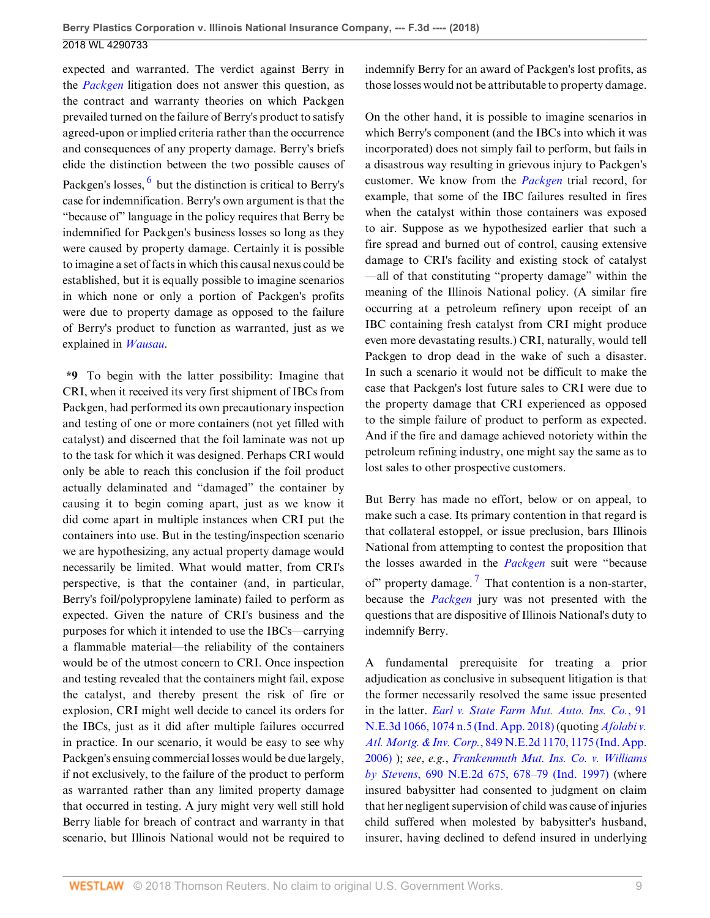<span id="page-8-0"></span>expected and warranted. The verdict against Berry in the *[Packgen](http://www.westlaw.com/Link/Document/FullText?findType=Y&serNum=2040866806&pubNum=0000506&originatingDoc=Ia5a48e10b53111e8b93ad6f77bf99296&refType=RP&originationContext=document&vr=3.0&rs=cblt1.0&transitionType=DocumentItem&contextData=(sc.UserEnteredCitation))* litigation does not answer this question, as the contract and warranty theories on which Packgen prevailed turned on the failure of Berry's product to satisfy agreed-upon or implied criteria rather than the occurrence and consequences of any property damage. Berry's briefs elide the distinction between the two possible causes of Packgen's losses, <sup>[6](#page-11-5)</sup> but the distinction is critical to Berry's case for indemnification. Berry's own argument is that the "because of" language in the policy requires that Berry be indemnified for Packgen's business losses so long as they were caused by property damage. Certainly it is possible to imagine a set of facts in which this causal nexus could be established, but it is equally possible to imagine scenarios in which none or only a portion of Packgen's profits were due to property damage as opposed to the failure of Berry's product to function as warranted, just as we explained in *[Wausau](http://www.westlaw.com/Link/Document/FullText?findType=Y&serNum=2014713686&pubNum=0000506&originatingDoc=Ia5a48e10b53111e8b93ad6f77bf99296&refType=RP&originationContext=document&vr=3.0&rs=cblt1.0&transitionType=DocumentItem&contextData=(sc.UserEnteredCitation))*.

**\*9** To begin with the latter possibility: Imagine that CRI, when it received its very first shipment of IBCs from Packgen, had performed its own precautionary inspection and testing of one or more containers (not yet filled with catalyst) and discerned that the foil laminate was not up to the task for which it was designed. Perhaps CRI would only be able to reach this conclusion if the foil product actually delaminated and "damaged" the container by causing it to begin coming apart, just as we know it did come apart in multiple instances when CRI put the containers into use. But in the testing/inspection scenario we are hypothesizing, any actual property damage would necessarily be limited. What would matter, from CRI's perspective, is that the container (and, in particular, Berry's foil/polypropylene laminate) failed to perform as expected. Given the nature of CRI's business and the purposes for which it intended to use the IBCs—carrying a flammable material—the reliability of the containers would be of the utmost concern to CRI. Once inspection and testing revealed that the containers might fail, expose the catalyst, and thereby present the risk of fire or explosion, CRI might well decide to cancel its orders for the IBCs, just as it did after multiple failures occurred in practice. In our scenario, it would be easy to see why Packgen's ensuing commercial losses would be due largely, if not exclusively, to the failure of the product to perform as warranted rather than any limited property damage that occurred in testing. A jury might very well still hold Berry liable for breach of contract and warranty in that scenario, but Illinois National would not be required to indemnify Berry for an award of Packgen's lost profits, as those losses would not be attributable to property damage.

On the other hand, it is possible to imagine scenarios in which Berry's component (and the IBCs into which it was incorporated) does not simply fail to perform, but fails in a disastrous way resulting in grievous injury to Packgen's customer. We know from the *[Packgen](http://www.westlaw.com/Link/Document/FullText?findType=Y&serNum=2040866806&pubNum=0000506&originatingDoc=Ia5a48e10b53111e8b93ad6f77bf99296&refType=RP&originationContext=document&vr=3.0&rs=cblt1.0&transitionType=DocumentItem&contextData=(sc.UserEnteredCitation))* trial record, for example, that some of the IBC failures resulted in fires when the catalyst within those containers was exposed to air. Suppose as we hypothesized earlier that such a fire spread and burned out of control, causing extensive damage to CRI's facility and existing stock of catalyst —all of that constituting "property damage" within the meaning of the Illinois National policy. (A similar fire occurring at a petroleum refinery upon receipt of an IBC containing fresh catalyst from CRI might produce even more devastating results.) CRI, naturally, would tell Packgen to drop dead in the wake of such a disaster. In such a scenario it would not be difficult to make the case that Packgen's lost future sales to CRI were due to the property damage that CRI experienced as opposed to the simple failure of product to perform as expected. And if the fire and damage achieved notoriety within the petroleum refining industry, one might say the same as to lost sales to other prospective customers.

<span id="page-8-1"></span>But Berry has made no effort, below or on appeal, to make such a case. Its primary contention in that regard is that collateral estoppel, or issue preclusion, bars Illinois National from attempting to contest the proposition that the losses awarded in the *[Packgen](http://www.westlaw.com/Link/Document/FullText?findType=Y&serNum=2040866806&pubNum=0000506&originatingDoc=Ia5a48e10b53111e8b93ad6f77bf99296&refType=RP&originationContext=document&vr=3.0&rs=cblt1.0&transitionType=DocumentItem&contextData=(sc.UserEnteredCitation))* suit were "because of" property damage.<sup>[7](#page-11-6)</sup> That contention is a non-starter, because the *[Packgen](http://www.westlaw.com/Link/Document/FullText?findType=Y&serNum=2040866806&pubNum=0000506&originatingDoc=Ia5a48e10b53111e8b93ad6f77bf99296&refType=RP&originationContext=document&vr=3.0&rs=cblt1.0&transitionType=DocumentItem&contextData=(sc.UserEnteredCitation))* jury was not presented with the questions that are dispositive of Illinois National's duty to indemnify Berry.

A fundamental prerequisite for treating a prior adjudication as conclusive in subsequent litigation is that the former necessarily resolved the same issue presented in the latter. *[Earl v. State Farm Mut. Auto. Ins. Co.](http://www.westlaw.com/Link/Document/FullText?findType=Y&serNum=2043613980&pubNum=0007902&originatingDoc=Ia5a48e10b53111e8b93ad6f77bf99296&refType=RP&fi=co_pp_sp_7902_1074&originationContext=document&vr=3.0&rs=cblt1.0&transitionType=DocumentItem&contextData=(sc.UserEnteredCitation)#co_pp_sp_7902_1074)*, 91 [N.E.3d 1066, 1074 n.5 \(Ind. App. 2018\)](http://www.westlaw.com/Link/Document/FullText?findType=Y&serNum=2043613980&pubNum=0007902&originatingDoc=Ia5a48e10b53111e8b93ad6f77bf99296&refType=RP&fi=co_pp_sp_7902_1074&originationContext=document&vr=3.0&rs=cblt1.0&transitionType=DocumentItem&contextData=(sc.UserEnteredCitation)#co_pp_sp_7902_1074) (quoting *[Afolabi v.](http://www.westlaw.com/Link/Document/FullText?findType=Y&serNum=2009456516&pubNum=0000578&originatingDoc=Ia5a48e10b53111e8b93ad6f77bf99296&refType=RP&fi=co_pp_sp_578_1175&originationContext=document&vr=3.0&rs=cblt1.0&transitionType=DocumentItem&contextData=(sc.UserEnteredCitation)#co_pp_sp_578_1175) Atl. Mortg. & Inv. Corp.*[, 849 N.E.2d 1170, 1175 \(Ind. App.](http://www.westlaw.com/Link/Document/FullText?findType=Y&serNum=2009456516&pubNum=0000578&originatingDoc=Ia5a48e10b53111e8b93ad6f77bf99296&refType=RP&fi=co_pp_sp_578_1175&originationContext=document&vr=3.0&rs=cblt1.0&transitionType=DocumentItem&contextData=(sc.UserEnteredCitation)#co_pp_sp_578_1175) [2006\)](http://www.westlaw.com/Link/Document/FullText?findType=Y&serNum=2009456516&pubNum=0000578&originatingDoc=Ia5a48e10b53111e8b93ad6f77bf99296&refType=RP&fi=co_pp_sp_578_1175&originationContext=document&vr=3.0&rs=cblt1.0&transitionType=DocumentItem&contextData=(sc.UserEnteredCitation)#co_pp_sp_578_1175) ); *see*, *e.g.*, *[Frankenmuth Mut. Ins. Co. v. Williams](http://www.westlaw.com/Link/Document/FullText?findType=Y&serNum=1997249169&pubNum=0000578&originatingDoc=Ia5a48e10b53111e8b93ad6f77bf99296&refType=RP&fi=co_pp_sp_578_678&originationContext=document&vr=3.0&rs=cblt1.0&transitionType=DocumentItem&contextData=(sc.UserEnteredCitation)#co_pp_sp_578_678) by Stevens*[, 690 N.E.2d 675, 678–79 \(Ind. 1997\)](http://www.westlaw.com/Link/Document/FullText?findType=Y&serNum=1997249169&pubNum=0000578&originatingDoc=Ia5a48e10b53111e8b93ad6f77bf99296&refType=RP&fi=co_pp_sp_578_678&originationContext=document&vr=3.0&rs=cblt1.0&transitionType=DocumentItem&contextData=(sc.UserEnteredCitation)#co_pp_sp_578_678) (where insured babysitter had consented to judgment on claim that her negligent supervision of child was cause of injuries child suffered when molested by babysitter's husband, insurer, having declined to defend insured in underlying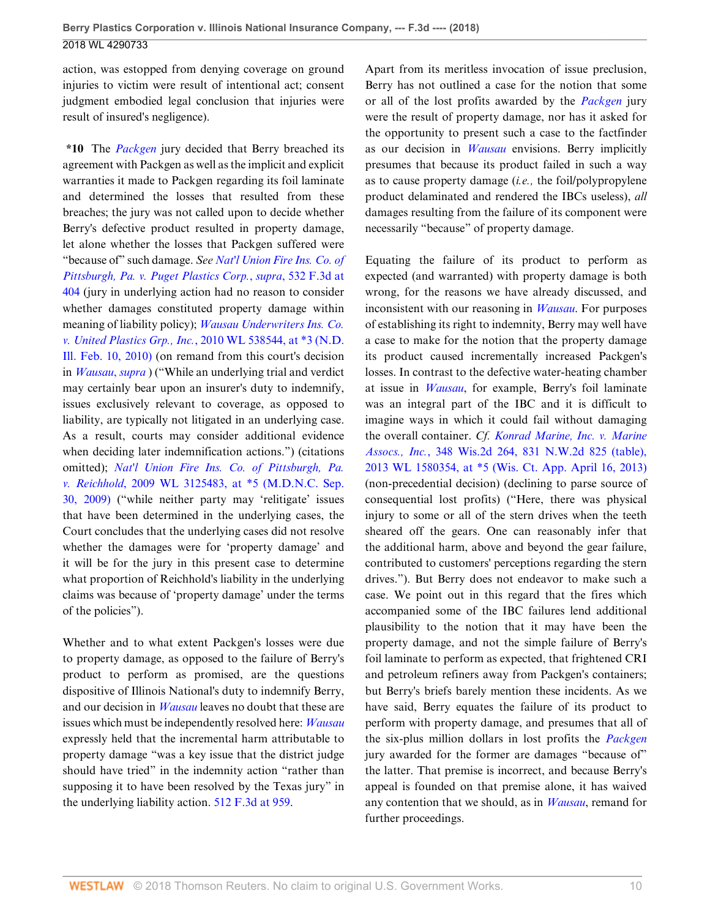action, was estopped from denying coverage on ground injuries to victim were result of intentional act; consent judgment embodied legal conclusion that injuries were result of insured's negligence).

**\*10** The *[Packgen](http://www.westlaw.com/Link/Document/FullText?findType=Y&serNum=2040866806&pubNum=0000506&originatingDoc=Ia5a48e10b53111e8b93ad6f77bf99296&refType=RP&originationContext=document&vr=3.0&rs=cblt1.0&transitionType=DocumentItem&contextData=(sc.UserEnteredCitation))* jury decided that Berry breached its agreement with Packgen as well as the implicit and explicit warranties it made to Packgen regarding its foil laminate and determined the losses that resulted from these breaches; the jury was not called upon to decide whether Berry's defective product resulted in property damage, let alone whether the losses that Packgen suffered were "because of" such damage. *See [Nat'l Union Fire Ins. Co. of](http://www.westlaw.com/Link/Document/FullText?findType=Y&serNum=2016363339&pubNum=0000506&originatingDoc=Ia5a48e10b53111e8b93ad6f77bf99296&refType=RP&fi=co_pp_sp_506_404&originationContext=document&vr=3.0&rs=cblt1.0&transitionType=DocumentItem&contextData=(sc.UserEnteredCitation)#co_pp_sp_506_404) [Pittsburgh, Pa. v. Puget Plastics Corp.](http://www.westlaw.com/Link/Document/FullText?findType=Y&serNum=2016363339&pubNum=0000506&originatingDoc=Ia5a48e10b53111e8b93ad6f77bf99296&refType=RP&fi=co_pp_sp_506_404&originationContext=document&vr=3.0&rs=cblt1.0&transitionType=DocumentItem&contextData=(sc.UserEnteredCitation)#co_pp_sp_506_404)*, *supra*, 532 F.3d at [404](http://www.westlaw.com/Link/Document/FullText?findType=Y&serNum=2016363339&pubNum=0000506&originatingDoc=Ia5a48e10b53111e8b93ad6f77bf99296&refType=RP&fi=co_pp_sp_506_404&originationContext=document&vr=3.0&rs=cblt1.0&transitionType=DocumentItem&contextData=(sc.UserEnteredCitation)#co_pp_sp_506_404) (jury in underlying action had no reason to consider whether damages constituted property damage within meaning of liability policy); *[Wausau Underwriters Ins. Co.](http://www.westlaw.com/Link/Document/FullText?findType=Y&serNum=2021362503&pubNum=0000999&originatingDoc=Ia5a48e10b53111e8b93ad6f77bf99296&refType=RP&originationContext=document&vr=3.0&rs=cblt1.0&transitionType=DocumentItem&contextData=(sc.UserEnteredCitation)) v. United Plastics Grp., Inc.*[, 2010 WL 538544, at \\*3 \(N.D.](http://www.westlaw.com/Link/Document/FullText?findType=Y&serNum=2021362503&pubNum=0000999&originatingDoc=Ia5a48e10b53111e8b93ad6f77bf99296&refType=RP&originationContext=document&vr=3.0&rs=cblt1.0&transitionType=DocumentItem&contextData=(sc.UserEnteredCitation)) [Ill. Feb. 10, 2010\)](http://www.westlaw.com/Link/Document/FullText?findType=Y&serNum=2021362503&pubNum=0000999&originatingDoc=Ia5a48e10b53111e8b93ad6f77bf99296&refType=RP&originationContext=document&vr=3.0&rs=cblt1.0&transitionType=DocumentItem&contextData=(sc.UserEnteredCitation)) (on remand from this court's decision in *[Wausau](http://www.westlaw.com/Link/Document/FullText?findType=Y&serNum=2021362503&pubNum=0000999&originatingDoc=Ia5a48e10b53111e8b93ad6f77bf99296&refType=RP&originationContext=document&vr=3.0&rs=cblt1.0&transitionType=DocumentItem&contextData=(sc.UserEnteredCitation))*, *supra* ) ("While an underlying trial and verdict may certainly bear upon an insurer's duty to indemnify, issues exclusively relevant to coverage, as opposed to liability, are typically not litigated in an underlying case. As a result, courts may consider additional evidence when deciding later indemnification actions.") (citations omitted); *[Nat'l Union Fire Ins. Co. of Pittsburgh, Pa.](http://www.westlaw.com/Link/Document/FullText?findType=Y&serNum=2019923399&pubNum=0000999&originatingDoc=Ia5a48e10b53111e8b93ad6f77bf99296&refType=RP&originationContext=document&vr=3.0&rs=cblt1.0&transitionType=DocumentItem&contextData=(sc.UserEnteredCitation)) v. Reichhold*[, 2009 WL 3125483, at \\*5 \(M.D.N.C. Sep.](http://www.westlaw.com/Link/Document/FullText?findType=Y&serNum=2019923399&pubNum=0000999&originatingDoc=Ia5a48e10b53111e8b93ad6f77bf99296&refType=RP&originationContext=document&vr=3.0&rs=cblt1.0&transitionType=DocumentItem&contextData=(sc.UserEnteredCitation)) [30, 2009\)](http://www.westlaw.com/Link/Document/FullText?findType=Y&serNum=2019923399&pubNum=0000999&originatingDoc=Ia5a48e10b53111e8b93ad6f77bf99296&refType=RP&originationContext=document&vr=3.0&rs=cblt1.0&transitionType=DocumentItem&contextData=(sc.UserEnteredCitation)) ("while neither party may 'relitigate' issues that have been determined in the underlying cases, the Court concludes that the underlying cases did not resolve whether the damages were for 'property damage' and it will be for the jury in this present case to determine what proportion of Reichhold's liability in the underlying claims was because of 'property damage' under the terms of the policies").

Whether and to what extent Packgen's losses were due to property damage, as opposed to the failure of Berry's product to perform as promised, are the questions dispositive of Illinois National's duty to indemnify Berry, and our decision in *[Wausau](http://www.westlaw.com/Link/Document/FullText?findType=Y&serNum=2014713686&pubNum=0000999&originatingDoc=Ia5a48e10b53111e8b93ad6f77bf99296&refType=RP&originationContext=document&vr=3.0&rs=cblt1.0&transitionType=DocumentItem&contextData=(sc.UserEnteredCitation))* leaves no doubt that these are issues which must be independently resolved here: *[Wausau](http://www.westlaw.com/Link/Document/FullText?findType=Y&serNum=2014713686&pubNum=0000999&originatingDoc=Ia5a48e10b53111e8b93ad6f77bf99296&refType=RP&originationContext=document&vr=3.0&rs=cblt1.0&transitionType=DocumentItem&contextData=(sc.UserEnteredCitation))* expressly held that the incremental harm attributable to property damage "was a key issue that the district judge should have tried" in the indemnity action "rather than supposing it to have been resolved by the Texas jury" in the underlying liability action. [512 F.3d at 959](http://www.westlaw.com/Link/Document/FullText?findType=Y&serNum=2014713686&pubNum=0000506&originatingDoc=Ia5a48e10b53111e8b93ad6f77bf99296&refType=RP&fi=co_pp_sp_506_959&originationContext=document&vr=3.0&rs=cblt1.0&transitionType=DocumentItem&contextData=(sc.UserEnteredCitation)#co_pp_sp_506_959).

Apart from its meritless invocation of issue preclusion, Berry has not outlined a case for the notion that some or all of the lost profits awarded by the *[Packgen](http://www.westlaw.com/Link/Document/FullText?findType=Y&serNum=2040866806&pubNum=0000506&originatingDoc=Ia5a48e10b53111e8b93ad6f77bf99296&refType=RP&originationContext=document&vr=3.0&rs=cblt1.0&transitionType=DocumentItem&contextData=(sc.UserEnteredCitation))* jury were the result of property damage, nor has it asked for the opportunity to present such a case to the factfinder as our decision in *[Wausau](http://www.westlaw.com/Link/Document/FullText?findType=Y&serNum=2014713686&pubNum=0000506&originatingDoc=Ia5a48e10b53111e8b93ad6f77bf99296&refType=RP&originationContext=document&vr=3.0&rs=cblt1.0&transitionType=DocumentItem&contextData=(sc.UserEnteredCitation))* envisions. Berry implicitly presumes that because its product failed in such a way as to cause property damage (*i.e.,* the foil/polypropylene product delaminated and rendered the IBCs useless), *all* damages resulting from the failure of its component were necessarily "because" of property damage.

Equating the failure of its product to perform as expected (and warranted) with property damage is both wrong, for the reasons we have already discussed, and inconsistent with our reasoning in *[Wausau](http://www.westlaw.com/Link/Document/FullText?findType=Y&serNum=2014713686&pubNum=0000506&originatingDoc=Ia5a48e10b53111e8b93ad6f77bf99296&refType=RP&originationContext=document&vr=3.0&rs=cblt1.0&transitionType=DocumentItem&contextData=(sc.UserEnteredCitation))*. For purposes of establishing its right to indemnity, Berry may well have a case to make for the notion that the property damage its product caused incrementally increased Packgen's losses. In contrast to the defective water-heating chamber at issue in *[Wausau](http://www.westlaw.com/Link/Document/FullText?findType=Y&serNum=2014713686&pubNum=0000506&originatingDoc=Ia5a48e10b53111e8b93ad6f77bf99296&refType=RP&originationContext=document&vr=3.0&rs=cblt1.0&transitionType=DocumentItem&contextData=(sc.UserEnteredCitation))*, for example, Berry's foil laminate was an integral part of the IBC and it is difficult to imagine ways in which it could fail without damaging the overall container. *Cf. [Konrad Marine, Inc. v. Marine](http://www.westlaw.com/Link/Document/FullText?findType=Y&serNum=2030355445&pubNum=0000595&originatingDoc=Ia5a48e10b53111e8b93ad6f77bf99296&refType=RP&originationContext=document&vr=3.0&rs=cblt1.0&transitionType=DocumentItem&contextData=(sc.UserEnteredCitation)) Assocs., Inc.*[, 348 Wis.2d 264, 831 N.W.2d 825 \(table\),](http://www.westlaw.com/Link/Document/FullText?findType=Y&serNum=2030355445&pubNum=0000595&originatingDoc=Ia5a48e10b53111e8b93ad6f77bf99296&refType=RP&originationContext=document&vr=3.0&rs=cblt1.0&transitionType=DocumentItem&contextData=(sc.UserEnteredCitation)) [2013 WL 1580354, at \\*5 \(Wis. Ct. App. April 16, 2013\)](http://www.westlaw.com/Link/Document/FullText?findType=Y&serNum=2030355445&pubNum=0000595&originatingDoc=Ia5a48e10b53111e8b93ad6f77bf99296&refType=RP&originationContext=document&vr=3.0&rs=cblt1.0&transitionType=DocumentItem&contextData=(sc.UserEnteredCitation)) (non-precedential decision) (declining to parse source of consequential lost profits) ("Here, there was physical injury to some or all of the stern drives when the teeth sheared off the gears. One can reasonably infer that the additional harm, above and beyond the gear failure, contributed to customers' perceptions regarding the stern drives."). But Berry does not endeavor to make such a case. We point out in this regard that the fires which accompanied some of the IBC failures lend additional plausibility to the notion that it may have been the property damage, and not the simple failure of Berry's foil laminate to perform as expected, that frightened CRI and petroleum refiners away from Packgen's containers; but Berry's briefs barely mention these incidents. As we have said, Berry equates the failure of its product to perform with property damage, and presumes that all of the six-plus million dollars in lost profits the *[Packgen](http://www.westlaw.com/Link/Document/FullText?findType=Y&serNum=2040866806&pubNum=0000506&originatingDoc=Ia5a48e10b53111e8b93ad6f77bf99296&refType=RP&originationContext=document&vr=3.0&rs=cblt1.0&transitionType=DocumentItem&contextData=(sc.UserEnteredCitation))* jury awarded for the former are damages "because of" the latter. That premise is incorrect, and because Berry's appeal is founded on that premise alone, it has waived any contention that we should, as in *[Wausau](http://www.westlaw.com/Link/Document/FullText?findType=Y&serNum=2014713686&pubNum=0000506&originatingDoc=Ia5a48e10b53111e8b93ad6f77bf99296&refType=RP&originationContext=document&vr=3.0&rs=cblt1.0&transitionType=DocumentItem&contextData=(sc.UserEnteredCitation))*, remand for further proceedings.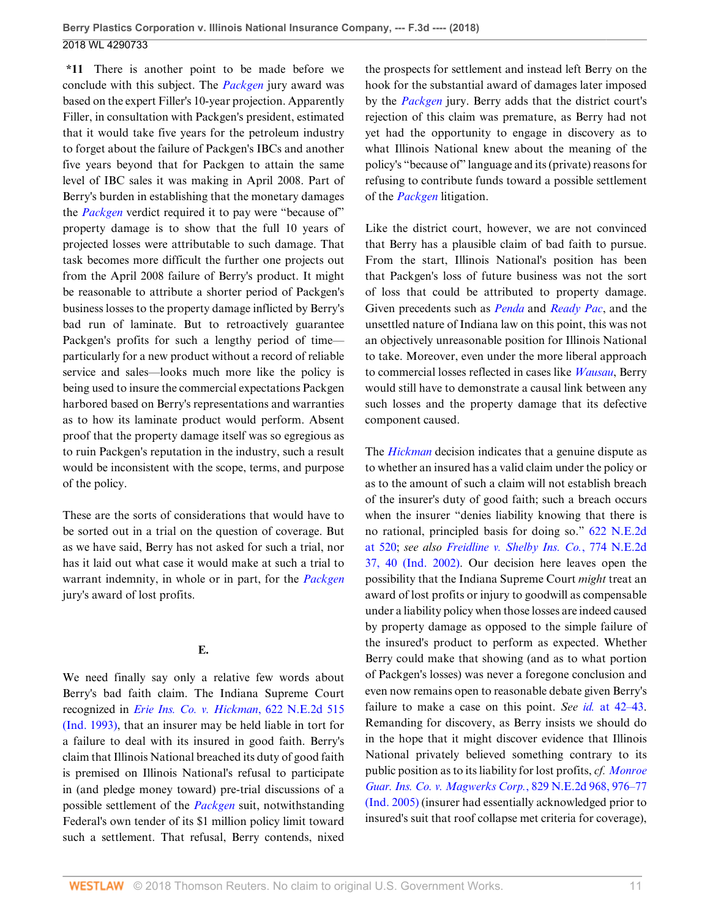**\*11** There is another point to be made before we conclude with this subject. The *[Packgen](http://www.westlaw.com/Link/Document/FullText?findType=Y&serNum=2040866806&pubNum=0000506&originatingDoc=Ia5a48e10b53111e8b93ad6f77bf99296&refType=RP&originationContext=document&vr=3.0&rs=cblt1.0&transitionType=DocumentItem&contextData=(sc.UserEnteredCitation))* jury award was based on the expert Filler's 10-year projection. Apparently Filler, in consultation with Packgen's president, estimated that it would take five years for the petroleum industry to forget about the failure of Packgen's IBCs and another five years beyond that for Packgen to attain the same level of IBC sales it was making in April 2008. Part of Berry's burden in establishing that the monetary damages the *[Packgen](http://www.westlaw.com/Link/Document/FullText?findType=Y&serNum=2040866806&pubNum=0000506&originatingDoc=Ia5a48e10b53111e8b93ad6f77bf99296&refType=RP&originationContext=document&vr=3.0&rs=cblt1.0&transitionType=DocumentItem&contextData=(sc.UserEnteredCitation))* verdict required it to pay were "because of" property damage is to show that the full 10 years of projected losses were attributable to such damage. That task becomes more difficult the further one projects out from the April 2008 failure of Berry's product. It might be reasonable to attribute a shorter period of Packgen's business losses to the property damage inflicted by Berry's bad run of laminate. But to retroactively guarantee Packgen's profits for such a lengthy period of time particularly for a new product without a record of reliable service and sales—looks much more like the policy is being used to insure the commercial expectations Packgen harbored based on Berry's representations and warranties as to how its laminate product would perform. Absent proof that the property damage itself was so egregious as to ruin Packgen's reputation in the industry, such a result would be inconsistent with the scope, terms, and purpose of the policy.

These are the sorts of considerations that would have to be sorted out in a trial on the question of coverage. But as we have said, Berry has not asked for such a trial, nor has it laid out what case it would make at such a trial to warrant indemnity, in whole or in part, for the *[Packgen](http://www.westlaw.com/Link/Document/FullText?findType=Y&serNum=2040866806&pubNum=0000506&originatingDoc=Ia5a48e10b53111e8b93ad6f77bf99296&refType=RP&originationContext=document&vr=3.0&rs=cblt1.0&transitionType=DocumentItem&contextData=(sc.UserEnteredCitation))* jury's award of lost profits.

# **E.**

We need finally say only a relative few words about Berry's bad faith claim. The Indiana Supreme Court recognized in *[Erie Ins. Co. v. Hickman](http://www.westlaw.com/Link/Document/FullText?findType=Y&serNum=1993206340&pubNum=0000578&originatingDoc=Ia5a48e10b53111e8b93ad6f77bf99296&refType=RP&originationContext=document&vr=3.0&rs=cblt1.0&transitionType=DocumentItem&contextData=(sc.UserEnteredCitation))*, 622 N.E.2d 515 [\(Ind. 1993\)](http://www.westlaw.com/Link/Document/FullText?findType=Y&serNum=1993206340&pubNum=0000578&originatingDoc=Ia5a48e10b53111e8b93ad6f77bf99296&refType=RP&originationContext=document&vr=3.0&rs=cblt1.0&transitionType=DocumentItem&contextData=(sc.UserEnteredCitation)), that an insurer may be held liable in tort for a failure to deal with its insured in good faith. Berry's claim that Illinois National breached its duty of good faith is premised on Illinois National's refusal to participate in (and pledge money toward) pre-trial discussions of a possible settlement of the *[Packgen](http://www.westlaw.com/Link/Document/FullText?findType=Y&serNum=2040866806&pubNum=0000506&originatingDoc=Ia5a48e10b53111e8b93ad6f77bf99296&refType=RP&originationContext=document&vr=3.0&rs=cblt1.0&transitionType=DocumentItem&contextData=(sc.UserEnteredCitation))* suit, notwithstanding Federal's own tender of its \$1 million policy limit toward such a settlement. That refusal, Berry contends, nixed the prospects for settlement and instead left Berry on the hook for the substantial award of damages later imposed by the *[Packgen](http://www.westlaw.com/Link/Document/FullText?findType=Y&serNum=2040866806&pubNum=0000506&originatingDoc=Ia5a48e10b53111e8b93ad6f77bf99296&refType=RP&originationContext=document&vr=3.0&rs=cblt1.0&transitionType=DocumentItem&contextData=(sc.UserEnteredCitation))* jury. Berry adds that the district court's rejection of this claim was premature, as Berry had not yet had the opportunity to engage in discovery as to what Illinois National knew about the meaning of the policy's "because of" language and its (private) reasons for refusing to contribute funds toward a possible settlement of the *[Packgen](http://www.westlaw.com/Link/Document/FullText?findType=Y&serNum=2040866806&pubNum=0000506&originatingDoc=Ia5a48e10b53111e8b93ad6f77bf99296&refType=RP&originationContext=document&vr=3.0&rs=cblt1.0&transitionType=DocumentItem&contextData=(sc.UserEnteredCitation))* litigation.

Like the district court, however, we are not convinced that Berry has a plausible claim of bad faith to pursue. From the start, Illinois National's position has been that Packgen's loss of future business was not the sort of loss that could be attributed to property damage. Given precedents such as *[Penda](http://www.westlaw.com/Link/Document/FullText?findType=Y&serNum=1992155257&pubNum=0000350&originatingDoc=Ia5a48e10b53111e8b93ad6f77bf99296&refType=RP&originationContext=document&vr=3.0&rs=cblt1.0&transitionType=DocumentItem&contextData=(sc.UserEnteredCitation))* and *[Ready Pac](http://www.westlaw.com/Link/Document/FullText?findType=Y&serNum=2024867101&pubNum=0004637&originatingDoc=Ia5a48e10b53111e8b93ad6f77bf99296&refType=RP&originationContext=document&vr=3.0&rs=cblt1.0&transitionType=DocumentItem&contextData=(sc.UserEnteredCitation))*, and the unsettled nature of Indiana law on this point, this was not an objectively unreasonable position for Illinois National to take. Moreover, even under the more liberal approach to commercial losses reflected in cases like *[Wausau](http://www.westlaw.com/Link/Document/FullText?findType=Y&serNum=2014713686&pubNum=0000506&originatingDoc=Ia5a48e10b53111e8b93ad6f77bf99296&refType=RP&originationContext=document&vr=3.0&rs=cblt1.0&transitionType=DocumentItem&contextData=(sc.UserEnteredCitation))*, Berry would still have to demonstrate a causal link between any such losses and the property damage that its defective component caused.

The *[Hickman](http://www.westlaw.com/Link/Document/FullText?findType=Y&serNum=1993206340&pubNum=0000578&originatingDoc=Ia5a48e10b53111e8b93ad6f77bf99296&refType=RP&originationContext=document&vr=3.0&rs=cblt1.0&transitionType=DocumentItem&contextData=(sc.UserEnteredCitation))* decision indicates that a genuine dispute as to whether an insured has a valid claim under the policy or as to the amount of such a claim will not establish breach of the insurer's duty of good faith; such a breach occurs when the insurer "denies liability knowing that there is no rational, principled basis for doing so." [622 N.E.2d](http://www.westlaw.com/Link/Document/FullText?findType=Y&serNum=1993206340&pubNum=0000578&originatingDoc=Ia5a48e10b53111e8b93ad6f77bf99296&refType=RP&fi=co_pp_sp_578_520&originationContext=document&vr=3.0&rs=cblt1.0&transitionType=DocumentItem&contextData=(sc.UserEnteredCitation)#co_pp_sp_578_520) [at 520](http://www.westlaw.com/Link/Document/FullText?findType=Y&serNum=1993206340&pubNum=0000578&originatingDoc=Ia5a48e10b53111e8b93ad6f77bf99296&refType=RP&fi=co_pp_sp_578_520&originationContext=document&vr=3.0&rs=cblt1.0&transitionType=DocumentItem&contextData=(sc.UserEnteredCitation)#co_pp_sp_578_520); *see also [Freidline v. Shelby Ins. Co.](http://www.westlaw.com/Link/Document/FullText?findType=Y&serNum=2002549569&pubNum=0000578&originatingDoc=Ia5a48e10b53111e8b93ad6f77bf99296&refType=RP&fi=co_pp_sp_578_40&originationContext=document&vr=3.0&rs=cblt1.0&transitionType=DocumentItem&contextData=(sc.UserEnteredCitation)#co_pp_sp_578_40)*, 774 N.E.2d [37, 40 \(Ind. 2002\).](http://www.westlaw.com/Link/Document/FullText?findType=Y&serNum=2002549569&pubNum=0000578&originatingDoc=Ia5a48e10b53111e8b93ad6f77bf99296&refType=RP&fi=co_pp_sp_578_40&originationContext=document&vr=3.0&rs=cblt1.0&transitionType=DocumentItem&contextData=(sc.UserEnteredCitation)#co_pp_sp_578_40) Our decision here leaves open the possibility that the Indiana Supreme Court *might* treat an award of lost profits or injury to goodwill as compensable under a liability policy when those losses are indeed caused by property damage as opposed to the simple failure of the insured's product to perform as expected. Whether Berry could make that showing (and as to what portion of Packgen's losses) was never a foregone conclusion and even now remains open to reasonable debate given Berry's failure to make a case on this point. *See id.* [at 42–43](http://www.westlaw.com/Link/Document/FullText?findType=Y&serNum=2002549569&pubNum=0000578&originatingDoc=Ia5a48e10b53111e8b93ad6f77bf99296&refType=RP&fi=co_pp_sp_578_42&originationContext=document&vr=3.0&rs=cblt1.0&transitionType=DocumentItem&contextData=(sc.UserEnteredCitation)#co_pp_sp_578_42). Remanding for discovery, as Berry insists we should do in the hope that it might discover evidence that Illinois National privately believed something contrary to its public position as to its liability for lost profits, *cf. [Monroe](http://www.westlaw.com/Link/Document/FullText?findType=Y&serNum=2006876658&pubNum=0000578&originatingDoc=Ia5a48e10b53111e8b93ad6f77bf99296&refType=RP&fi=co_pp_sp_578_976&originationContext=document&vr=3.0&rs=cblt1.0&transitionType=DocumentItem&contextData=(sc.UserEnteredCitation)#co_pp_sp_578_976) [Guar. Ins. Co. v. Magwerks Corp.](http://www.westlaw.com/Link/Document/FullText?findType=Y&serNum=2006876658&pubNum=0000578&originatingDoc=Ia5a48e10b53111e8b93ad6f77bf99296&refType=RP&fi=co_pp_sp_578_976&originationContext=document&vr=3.0&rs=cblt1.0&transitionType=DocumentItem&contextData=(sc.UserEnteredCitation)#co_pp_sp_578_976)*, 829 N.E.2d 968, 976–77 [\(Ind. 2005\)](http://www.westlaw.com/Link/Document/FullText?findType=Y&serNum=2006876658&pubNum=0000578&originatingDoc=Ia5a48e10b53111e8b93ad6f77bf99296&refType=RP&fi=co_pp_sp_578_976&originationContext=document&vr=3.0&rs=cblt1.0&transitionType=DocumentItem&contextData=(sc.UserEnteredCitation)#co_pp_sp_578_976) (insurer had essentially acknowledged prior to insured's suit that roof collapse met criteria for coverage),